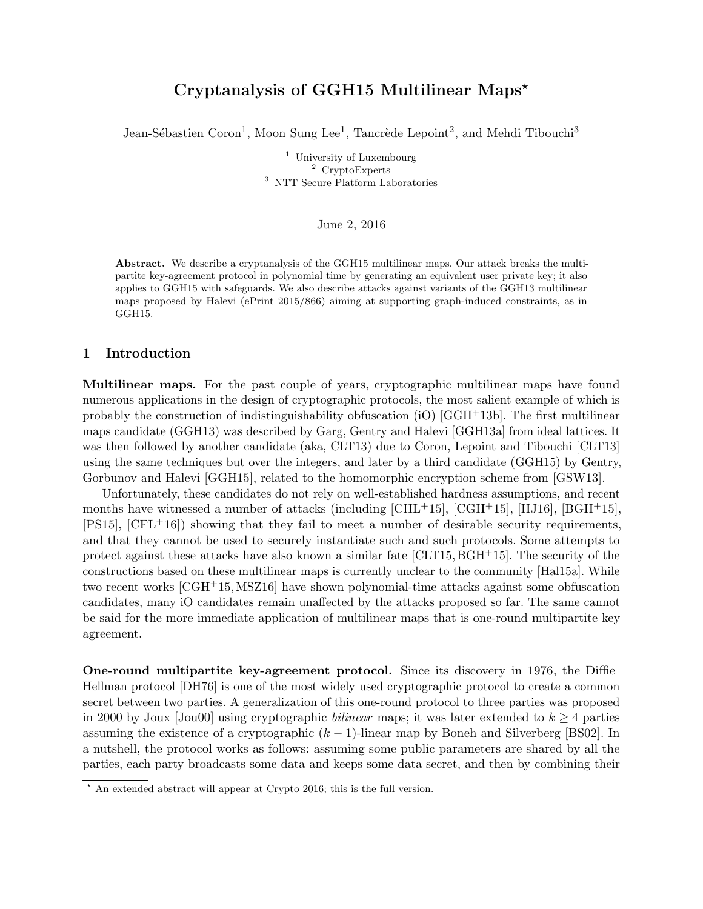# Cryptanalysis of GGH15 Multilinear Maps?

Jean-Sébastien Coron<sup>1</sup>, Moon Sung Lee<sup>1</sup>, Tancrède Lepoint<sup>2</sup>, and Mehdi Tibouchi<sup>3</sup>

<sup>1</sup> University of Luxembourg <sup>2</sup> CryptoExperts <sup>3</sup> NTT Secure Platform Laboratories

#### June 2, 2016

Abstract. We describe a cryptanalysis of the GGH15 multilinear maps. Our attack breaks the multipartite key-agreement protocol in polynomial time by generating an equivalent user private key; it also applies to GGH15 with safeguards. We also describe attacks against variants of the GGH13 multilinear maps proposed by Halevi (ePrint 2015/866) aiming at supporting graph-induced constraints, as in GGH15.

## 1 Introduction

Multilinear maps. For the past couple of years, cryptographic multilinear maps have found numerous applications in the design of cryptographic protocols, the most salient example of which is probably the construction of indistinguishability obfuscation (iO) [GGH+13b]. The first multilinear maps candidate (GGH13) was described by Garg, Gentry and Halevi [GGH13a] from ideal lattices. It was then followed by another candidate (aka, CLT13) due to Coron, Lepoint and Tibouchi [CLT13] using the same techniques but over the integers, and later by a third candidate (GGH15) by Gentry, Gorbunov and Halevi [GGH15], related to the homomorphic encryption scheme from [GSW13].

Unfortunately, these candidates do not rely on well-established hardness assumptions, and recent months have witnessed a number of attacks (including  $\text{[CHL+15]}$ ,  $\text{[CGH+15]}$ ,  $\text{[HJI6]}$ ,  $\text{[BGH+15]}$ ,  $[PS15]$ ,  $[CFL+16]$ ) showing that they fail to meet a number of desirable security requirements, and that they cannot be used to securely instantiate such and such protocols. Some attempts to protect against these attacks have also known a similar fate [CLT15, BGH+15]. The security of the constructions based on these multilinear maps is currently unclear to the community [Hal15a]. While two recent works [CGH+15,MSZ16] have shown polynomial-time attacks against some obfuscation candidates, many iO candidates remain unaffected by the attacks proposed so far. The same cannot be said for the more immediate application of multilinear maps that is one-round multipartite key agreement.

One-round multipartite key-agreement protocol. Since its discovery in 1976, the Diffie– Hellman protocol [DH76] is one of the most widely used cryptographic protocol to create a common secret between two parties. A generalization of this one-round protocol to three parties was proposed in 2000 by Joux  $Jou00$  using cryptographic *bilinear* maps; it was later extended to  $k \geq 4$  parties assuming the existence of a cryptographic  $(k - 1)$ -linear map by Boneh and Silverberg [BS02]. In a nutshell, the protocol works as follows: assuming some public parameters are shared by all the parties, each party broadcasts some data and keeps some data secret, and then by combining their

 $\overline{\star}$  An extended abstract will appear at Crypto 2016; this is the full version.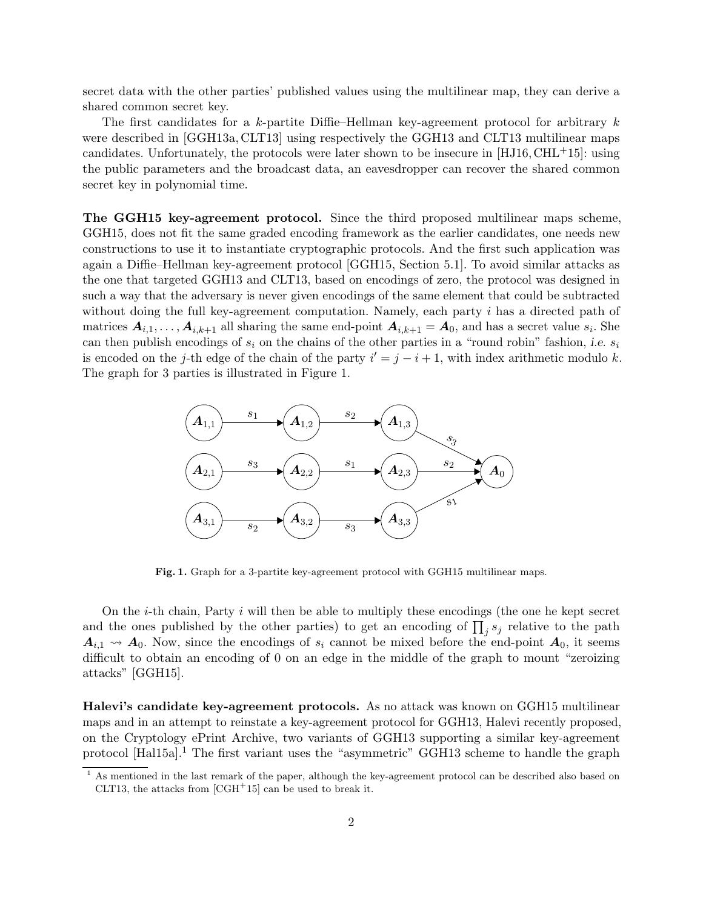secret data with the other parties' published values using the multilinear map, they can derive a shared common secret key.

The first candidates for a k-partite Diffie–Hellman key-agreement protocol for arbitrary k were described in [GGH13a, CLT13] using respectively the GGH13 and CLT13 multilinear maps candidates. Unfortunately, the protocols were later shown to be insecure in  $[HJ16, CHL+15]$ : using the public parameters and the broadcast data, an eavesdropper can recover the shared common secret key in polynomial time.

The GGH15 key-agreement protocol. Since the third proposed multilinear maps scheme, GGH15, does not fit the same graded encoding framework as the earlier candidates, one needs new constructions to use it to instantiate cryptographic protocols. And the first such application was again a Diffie–Hellman key-agreement protocol [GGH15, Section 5.1]. To avoid similar attacks as the one that targeted GGH13 and CLT13, based on encodings of zero, the protocol was designed in such a way that the adversary is never given encodings of the same element that could be subtracted without doing the full key-agreement computation. Namely, each party i has a directed path of matrices  $A_{i,1}, \ldots, A_{i,k+1}$  all sharing the same end-point  $A_{i,k+1} = A_0$ , and has a secret value  $s_i$ . She can then publish encodings of  $s_i$  on the chains of the other parties in a "round robin" fashion, i.e.  $s_i$ is encoded on the j-th edge of the chain of the party  $i' = j - i + 1$ , with index arithmetic modulo k. The graph for 3 parties is illustrated in Figure 1.



Fig. 1. Graph for a 3-partite key-agreement protocol with GGH15 multilinear maps.

On the i-th chain, Party i will then be able to multiply these encodings (the one he kept secret and the ones published by the other parties) to get an encoding of  $\prod_j s_j$  relative to the path  $A_{i,1} \rightsquigarrow A_0$ . Now, since the encodings of  $s_i$  cannot be mixed before the end-point  $A_0$ , it seems difficult to obtain an encoding of 0 on an edge in the middle of the graph to mount "zeroizing" attacks" [GGH15].

Halevi's candidate key-agreement protocols. As no attack was known on GGH15 multilinear maps and in an attempt to reinstate a key-agreement protocol for GGH13, Halevi recently proposed, on the Cryptology ePrint Archive, two variants of GGH13 supporting a similar key-agreement protocol  $[Ha115a]$ <sup>1</sup>. The first variant uses the "asymmetric" GGH13 scheme to handle the graph

<sup>1</sup> As mentioned in the last remark of the paper, although the key-agreement protocol can be described also based on CLT13, the attacks from  $[CGH<sup>+</sup>15]$  can be used to break it.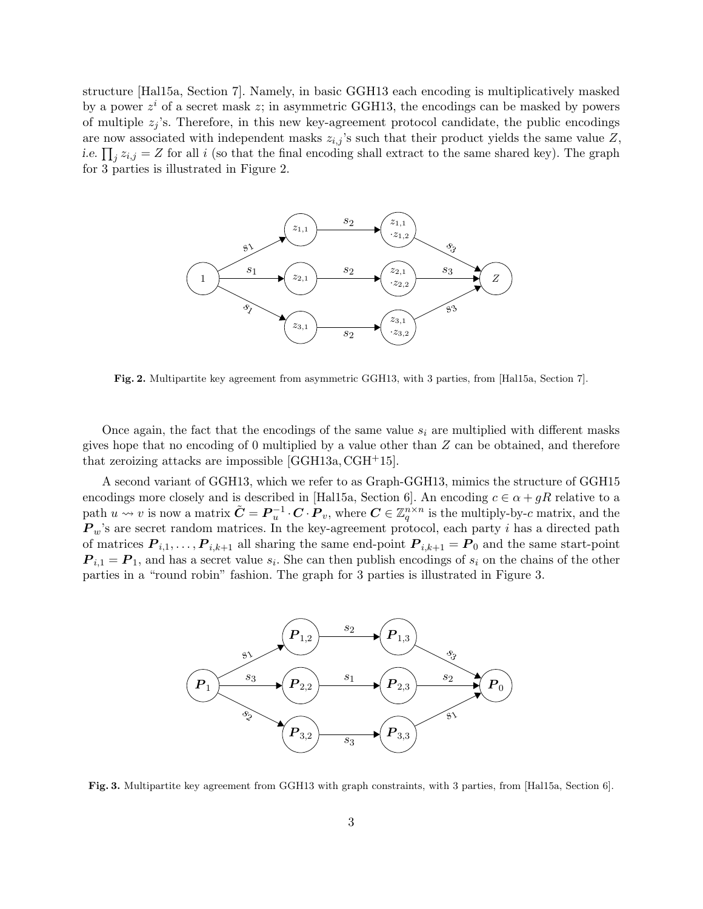structure [Hal15a, Section 7]. Namely, in basic GGH13 each encoding is multiplicatively masked by a power  $z^i$  of a secret mask  $z$ ; in asymmetric GGH13, the encodings can be masked by powers of multiple  $z_j$ 's. Therefore, in this new key-agreement protocol candidate, the public encodings are now associated with independent masks  $z_{i,j}$ 's such that their product yields the same value Z, *i.e.*  $\prod_j z_{i,j} = Z$  for all *i* (so that the final encoding shall extract to the same shared key). The graph for 3 parties is illustrated in Figure 2.



Fig. 2. Multipartite key agreement from asymmetric GGH13, with 3 parties, from [Hal15a, Section 7].

Once again, the fact that the encodings of the same value  $s_i$  are multiplied with different masks gives hope that no encoding of 0 multiplied by a value other than  $Z$  can be obtained, and therefore that zeroizing attacks are impossible  $[GCH13a, CGH<sup>+</sup>15]$ .

A second variant of GGH13, which we refer to as Graph-GGH13, mimics the structure of GGH15 encodings more closely and is described in [Hal15a, Section 6]. An encoding  $c \in \alpha + gR$  relative to a path  $u \leadsto v$  is now a matrix  $\tilde{C} = \boldsymbol{P}_u^{-1} \cdot \boldsymbol{C} \cdot \boldsymbol{P}_v$ , where  $\boldsymbol{C} \in \mathbb{Z}_q^{n \times n}$  is the multiply-by-c matrix, and the  $P_w$ 's are secret random matrices. In the key-agreement protocol, each party i has a directed path of matrices  $P_{i,1}, \ldots, P_{i,k+1}$  all sharing the same end-point  $P_{i,k+1} = P_0$  and the same start-point  $P_{i,1} = P_1$ , and has a secret value  $s_i$ . She can then publish encodings of  $s_i$  on the chains of the other parties in a "round robin" fashion. The graph for 3 parties is illustrated in Figure 3.



Fig. 3. Multipartite key agreement from GGH13 with graph constraints, with 3 parties, from [Hal15a, Section 6].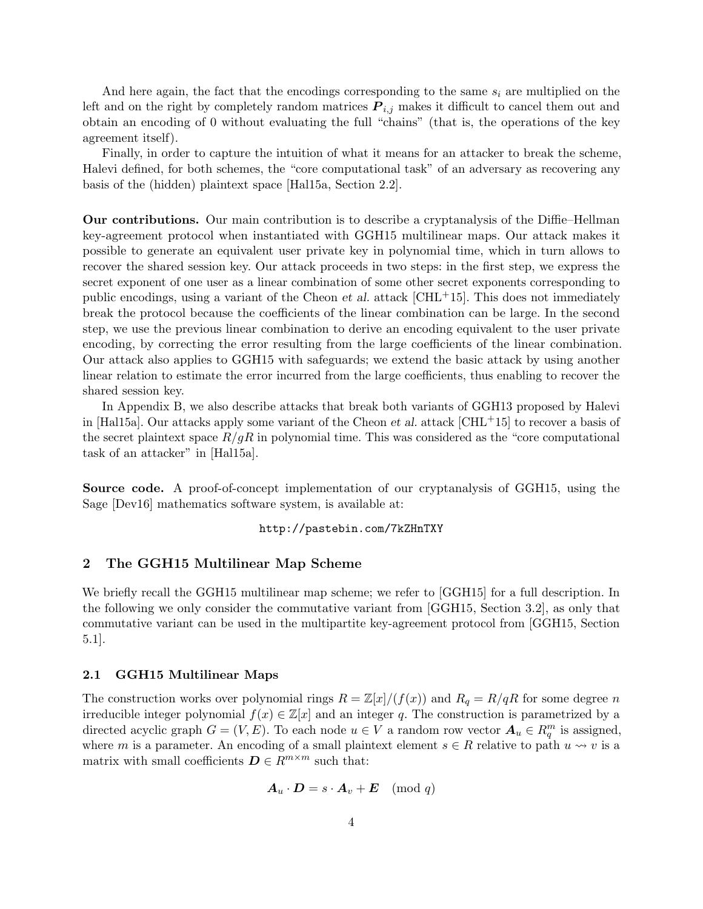And here again, the fact that the encodings corresponding to the same  $s_i$  are multiplied on the left and on the right by completely random matrices  $P_{i,j}$  makes it difficult to cancel them out and obtain an encoding of 0 without evaluating the full "chains" (that is, the operations of the key agreement itself).

Finally, in order to capture the intuition of what it means for an attacker to break the scheme, Halevi defined, for both schemes, the "core computational task" of an adversary as recovering any basis of the (hidden) plaintext space [Hal15a, Section 2.2].

Our contributions. Our main contribution is to describe a cryptanalysis of the Diffie–Hellman key-agreement protocol when instantiated with GGH15 multilinear maps. Our attack makes it possible to generate an equivalent user private key in polynomial time, which in turn allows to recover the shared session key. Our attack proceeds in two steps: in the first step, we express the secret exponent of one user as a linear combination of some other secret exponents corresponding to public encodings, using a variant of the Cheon *et al.* attack  $[CHL<sup>+</sup>15]$ . This does not immediately break the protocol because the coefficients of the linear combination can be large. In the second step, we use the previous linear combination to derive an encoding equivalent to the user private encoding, by correcting the error resulting from the large coefficients of the linear combination. Our attack also applies to GGH15 with safeguards; we extend the basic attack by using another linear relation to estimate the error incurred from the large coefficients, thus enabling to recover the shared session key.

In Appendix B, we also describe attacks that break both variants of GGH13 proposed by Halevi in [Hal15a]. Our attacks apply some variant of the Cheon et al. attack  $\text{[CHL+15]}$  to recover a basis of the secret plaintext space  $R/gR$  in polynomial time. This was considered as the "core computational" task of an attacker" in [Hal15a].

Source code. A proof-of-concept implementation of our cryptanalysis of GGH15, using the Sage [Dev16] mathematics software system, is available at:

## http://pastebin.com/7kZHnTXY

### 2 The GGH15 Multilinear Map Scheme

We briefly recall the GGH15 multilinear map scheme; we refer to [GGH15] for a full description. In the following we only consider the commutative variant from [GGH15, Section 3.2], as only that commutative variant can be used in the multipartite key-agreement protocol from [GGH15, Section 5.1].

#### 2.1 GGH15 Multilinear Maps

The construction works over polynomial rings  $R = \mathbb{Z}[x]/(f(x))$  and  $R_q = R/qR$  for some degree n irreducible integer polynomial  $f(x) \in \mathbb{Z}[x]$  and an integer q. The construction is parametrized by a directed acyclic graph  $G = (V, E)$ . To each node  $u \in V$  a random row vector  $A_u \in R_q^m$  is assigned, where m is a parameter. An encoding of a small plaintext element  $s \in R$  relative to path  $u \leadsto v$  is a matrix with small coefficients  $\mathbf{D} \in \mathbb{R}^{m \times m}$  such that:

$$
\boldsymbol{A}_u \cdot \boldsymbol{D} = s \cdot \boldsymbol{A}_v + \boldsymbol{E} \pmod{q}
$$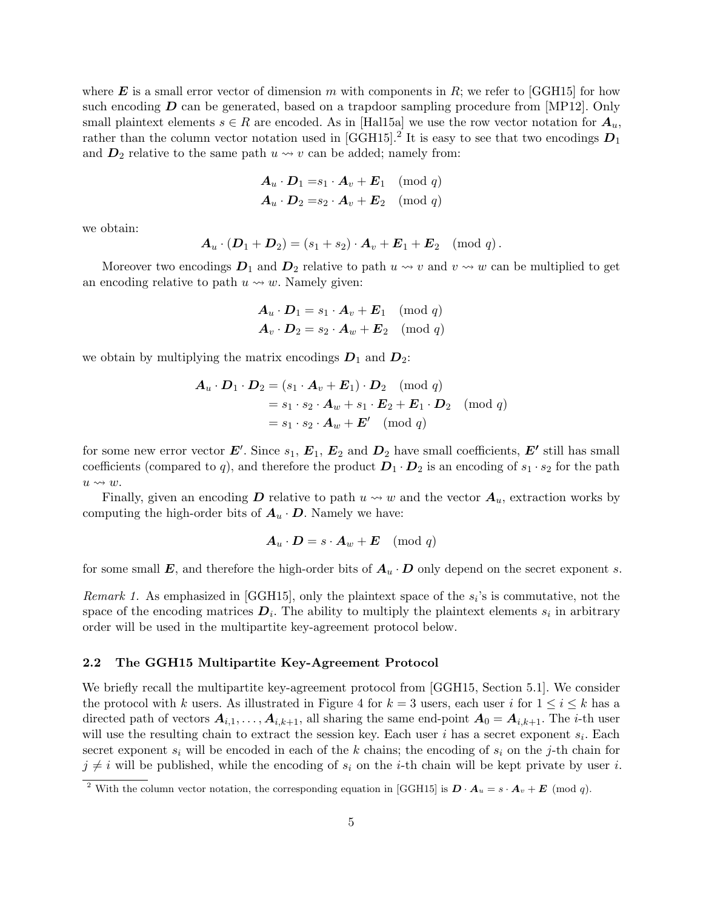where **E** is a small error vector of dimension m with components in R; we refer to [GGH15] for how such encoding  $\bm{D}$  can be generated, based on a trapdoor sampling procedure from [MP12]. Only small plaintext elements  $s \in R$  are encoded. As in [Hal15a] we use the row vector notation for  $A_u$ , rather than the column vector notation used in [GGH15].<sup>2</sup> It is easy to see that two encodings  $D_1$ and  $D_2$  relative to the same path  $u \leadsto v$  can be added; namely from:

$$
\begin{aligned}\n\mathbf{A}_u \cdot \mathbf{D}_1 &= s_1 \cdot \mathbf{A}_v + \mathbf{E}_1 \pmod{q} \\
\mathbf{A}_u \cdot \mathbf{D}_2 &= s_2 \cdot \mathbf{A}_v + \mathbf{E}_2 \pmod{q}\n\end{aligned}
$$

we obtain:

$$
\boldsymbol{A}_u\cdot (\boldsymbol{D}_1+\boldsymbol{D}_2)=(s_1+s_2)\cdot \boldsymbol{A}_v+\boldsymbol{E}_1+\boldsymbol{E}_2 \pmod{q}\,.
$$

Moreover two encodings  $D_1$  and  $D_2$  relative to path  $u \leadsto v$  and  $v \leadsto w$  can be multiplied to get an encoding relative to path  $u \leftrightarrow w$ . Namely given:

$$
\begin{aligned} \boldsymbol{A}_u \cdot \boldsymbol{D}_1 &= s_1 \cdot \boldsymbol{A}_v + \boldsymbol{E}_1 \pmod{q} \\ \boldsymbol{A}_v \cdot \boldsymbol{D}_2 &= s_2 \cdot \boldsymbol{A}_w + \boldsymbol{E}_2 \pmod{q} \end{aligned}
$$

we obtain by multiplying the matrix encodings  $D_1$  and  $D_2$ :

$$
\mathbf{A}_u \cdot \mathbf{D}_1 \cdot \mathbf{D}_2 = (s_1 \cdot \mathbf{A}_v + \mathbf{E}_1) \cdot \mathbf{D}_2 \pmod{q}
$$
  
=  $s_1 \cdot s_2 \cdot \mathbf{A}_w + s_1 \cdot \mathbf{E}_2 + \mathbf{E}_1 \cdot \mathbf{D}_2 \pmod{q}$   
=  $s_1 \cdot s_2 \cdot \mathbf{A}_w + \mathbf{E}' \pmod{q}$ 

for some new error vector  $E'$ . Since  $s_1, E_1, E_2$  and  $D_2$  have small coefficients,  $E'$  still has small coefficients (compared to q), and therefore the product  $D_1 \cdot D_2$  is an encoding of  $s_1 \cdot s_2$  for the path  $u \leadsto w$ .

Finally, given an encoding D relative to path  $u \leadsto w$  and the vector  $A_u$ , extraction works by computing the high-order bits of  $A_u \cdot D$ . Namely we have:

$$
\boldsymbol{A}_u \cdot \boldsymbol{D} = s \cdot \boldsymbol{A}_w + \boldsymbol{E} \pmod{q}
$$

for some small E, and therefore the high-order bits of  $A_u \cdot D$  only depend on the secret exponent s.

Remark 1. As emphasized in [GGH15], only the plaintext space of the  $s_i$ 's is commutative, not the space of the encoding matrices  $D_i$ . The ability to multiply the plaintext elements  $s_i$  in arbitrary order will be used in the multipartite key-agreement protocol below.

#### 2.2 The GGH15 Multipartite Key-Agreement Protocol

We briefly recall the multipartite key-agreement protocol from [GGH15, Section 5.1]. We consider the protocol with k users. As illustrated in Figure 4 for  $k = 3$  users, each user i for  $1 \le i \le k$  has a directed path of vectors  $A_{i,1}, \ldots, A_{i,k+1}$ , all sharing the same end-point  $A_0 = A_{i,k+1}$ . The *i*-th user will use the resulting chain to extract the session key. Each user i has a secret exponent  $s_i$ . Each secret exponent  $s_i$  will be encoded in each of the k chains; the encoding of  $s_i$  on the j-th chain for  $j \neq i$  will be published, while the encoding of  $s_i$  on the *i*-th chain will be kept private by user *i*.

<sup>&</sup>lt;sup>2</sup> With the column vector notation, the corresponding equation in [GGH15] is  $\mathbf{D} \cdot \mathbf{A}_u = s \cdot \mathbf{A}_v + \mathbf{E}$  (mod q).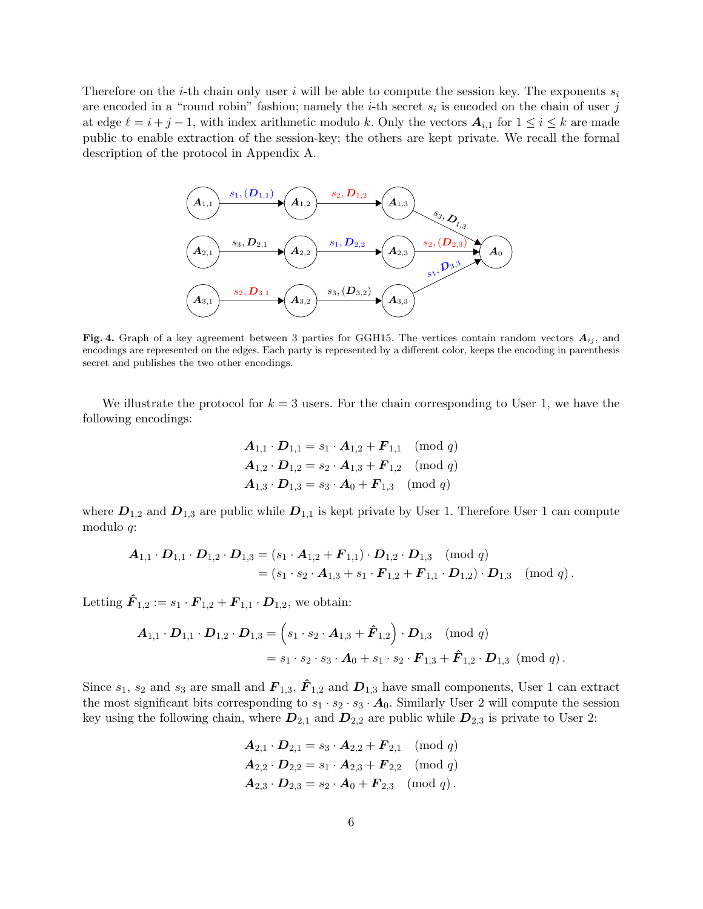Therefore on the *i*-th chain only user i will be able to compute the session key. The exponents  $s_i$ are encoded in a "round robin" fashion; namely the *i*-th secret  $s_i$  is encoded on the chain of user j at edge  $\ell = i + j - 1$ , with index arithmetic modulo k. Only the vectors  $A_{i,1}$  for  $1 \leq i \leq k$  are made public to enable extraction of the session-key; the others are kept private. We recall the formal description of the protocol in Appendix A.



Fig. 4. Graph of a key agreement between 3 parties for GGH15. The vertices contain random vectors  $A_{ij}$ , and encodings are represented on the edges. Each party is represented by a different color, keeps the encoding in parenthesis secret and publishes the two other encodings.

We illustrate the protocol for  $k = 3$  users. For the chain corresponding to User 1, we have the following encodings:

$$
A_{1,1} \cdot D_{1,1} = s_1 \cdot A_{1,2} + F_{1,1} \pmod{q}
$$
  
\n
$$
A_{1,2} \cdot D_{1,2} = s_2 \cdot A_{1,3} + F_{1,2} \pmod{q}
$$
  
\n
$$
A_{1,3} \cdot D_{1,3} = s_3 \cdot A_0 + F_{1,3} \pmod{q}
$$

where  $D_{1,2}$  and  $D_{1,3}$  are public while  $D_{1,1}$  is kept private by User 1. Therefore User 1 can compute modulo q:

$$
\begin{aligned} \mathbf{A}_{1,1} \cdot \mathbf{D}_{1,1} \cdot \mathbf{D}_{1,2} \cdot \mathbf{D}_{1,3} &= (s_1 \cdot \mathbf{A}_{1,2} + \mathbf{F}_{1,1}) \cdot \mathbf{D}_{1,2} \cdot \mathbf{D}_{1,3} \pmod{q} \\ &= (s_1 \cdot s_2 \cdot \mathbf{A}_{1,3} + s_1 \cdot \mathbf{F}_{1,2} + \mathbf{F}_{1,1} \cdot \mathbf{D}_{1,2}) \cdot \mathbf{D}_{1,3} \pmod{q}. \end{aligned}
$$

Letting  $\hat{F}_{1,2} := s_1 \cdot \mathbf{F}_{1,2} + \mathbf{F}_{1,1} \cdot \mathbf{D}_{1,2}$ , we obtain:

$$
\begin{aligned} \mathbf{A}_{1,1} \cdot \mathbf{D}_{1,1} \cdot \mathbf{D}_{1,2} \cdot \mathbf{D}_{1,3} &= \left( s_1 \cdot s_2 \cdot \mathbf{A}_{1,3} + \hat{\mathbf{F}}_{1,2} \right) \cdot \mathbf{D}_{1,3} \pmod{q} \\ &= s_1 \cdot s_2 \cdot s_3 \cdot \mathbf{A}_0 + s_1 \cdot s_2 \cdot \mathbf{F}_{1,3} + \hat{\mathbf{F}}_{1,2} \cdot \mathbf{D}_{1,3} \pmod{q}. \end{aligned}
$$

Since  $s_1$ ,  $s_2$  and  $s_3$  are small and  $\mathbf{F}_{1,3}$ ,  $\hat{\mathbf{F}}_{1,2}$  and  $\mathbf{D}_{1,3}$  have small components, User 1 can extract the most significant bits corresponding to  $s_1 \cdot s_2 \cdot s_3 \cdot A_0$ . Similarly User 2 will compute the session key using the following chain, where  $D_{2,1}$  and  $D_{2,2}$  are public while  $D_{2,3}$  is private to User 2:

$$
\mathbf{A}_{2,1} \cdot \mathbf{D}_{2,1} = s_3 \cdot \mathbf{A}_{2,2} + \mathbf{F}_{2,1} \pmod{q}
$$
  

$$
\mathbf{A}_{2,2} \cdot \mathbf{D}_{2,2} = s_1 \cdot \mathbf{A}_{2,3} + \mathbf{F}_{2,2} \pmod{q}
$$
  

$$
\mathbf{A}_{2,3} \cdot \mathbf{D}_{2,3} = s_2 \cdot \mathbf{A}_0 + \mathbf{F}_{2,3} \pmod{q}.
$$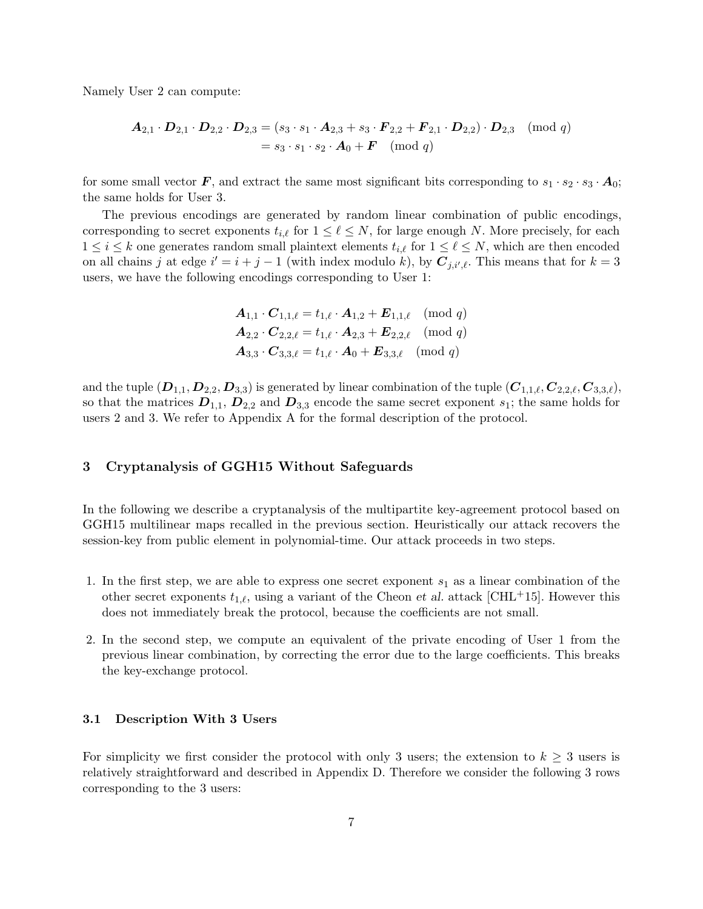Namely User 2 can compute:

$$
\begin{aligned} \mathbf{A}_{2,1} \cdot \mathbf{D}_{2,1} \cdot \mathbf{D}_{2,2} \cdot \mathbf{D}_{2,3} &= (s_3 \cdot s_1 \cdot \mathbf{A}_{2,3} + s_3 \cdot \mathbf{F}_{2,2} + \mathbf{F}_{2,1} \cdot \mathbf{D}_{2,2}) \cdot \mathbf{D}_{2,3} \pmod{q} \\ &= s_3 \cdot s_1 \cdot s_2 \cdot \mathbf{A}_0 + \mathbf{F} \pmod{q} \end{aligned}
$$

for some small vector F, and extract the same most significant bits corresponding to  $s_1 \cdot s_2 \cdot s_3 \cdot A_0$ ; the same holds for User 3.

The previous encodings are generated by random linear combination of public encodings, corresponding to secret exponents  $t_{i,\ell}$  for  $1 \leq \ell \leq N$ , for large enough N. More precisely, for each  $1 \leq i \leq k$  one generates random small plaintext elements  $t_{i,\ell}$  for  $1 \leq \ell \leq N$ , which are then encoded on all chains j at edge  $i' = i + j - 1$  (with index modulo k), by  $C_{j,i',\ell}$ . This means that for  $k = 3$ users, we have the following encodings corresponding to User 1:

$$
\begin{aligned}\n\mathbf{A}_{1,1} \cdot \mathbf{C}_{1,1,\ell} &= t_{1,\ell} \cdot \mathbf{A}_{1,2} + \mathbf{E}_{1,1,\ell} \pmod{q} \\
\mathbf{A}_{2,2} \cdot \mathbf{C}_{2,2,\ell} &= t_{1,\ell} \cdot \mathbf{A}_{2,3} + \mathbf{E}_{2,2,\ell} \pmod{q} \\
\mathbf{A}_{3,3} \cdot \mathbf{C}_{3,3,\ell} &= t_{1,\ell} \cdot \mathbf{A}_0 + \mathbf{E}_{3,3,\ell} \pmod{q}\n\end{aligned}
$$

and the tuple  $(D_{1,1}, D_{2,2}, D_{3,3})$  is generated by linear combination of the tuple  $(C_{1,1,\ell}, C_{2,2,\ell}, C_{3,3,\ell}),$ so that the matrices  $D_{1,1}$ ,  $D_{2,2}$  and  $D_{3,3}$  encode the same secret exponent  $s_1$ ; the same holds for users 2 and 3. We refer to Appendix A for the formal description of the protocol.

## 3 Cryptanalysis of GGH15 Without Safeguards

In the following we describe a cryptanalysis of the multipartite key-agreement protocol based on GGH15 multilinear maps recalled in the previous section. Heuristically our attack recovers the session-key from public element in polynomial-time. Our attack proceeds in two steps.

- 1. In the first step, we are able to express one secret exponent  $s_1$  as a linear combination of the other secret exponents  $t_{1,\ell}$ , using a variant of the Cheon *et al.* attack [CHL+15]. However this does not immediately break the protocol, because the coefficients are not small.
- 2. In the second step, we compute an equivalent of the private encoding of User 1 from the previous linear combination, by correcting the error due to the large coefficients. This breaks the key-exchange protocol.

#### 3.1 Description With 3 Users

For simplicity we first consider the protocol with only 3 users; the extension to  $k \geq 3$  users is relatively straightforward and described in Appendix D. Therefore we consider the following 3 rows corresponding to the 3 users: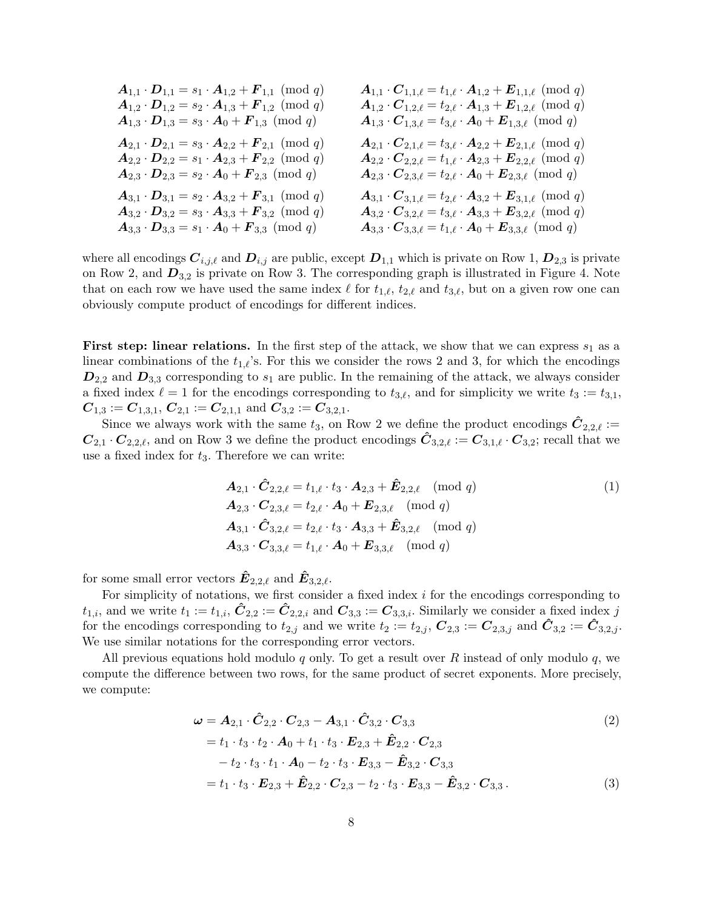| $\mathbf{A}_{1,1} \cdot \mathbf{D}_{1,1} = s_1 \cdot \mathbf{A}_{1,2} + \mathbf{F}_{1,1} \pmod{q}$ | $\mathbf{A}_{1,1} \cdot \mathbf{C}_{1,1,\ell} = t_{1,\ell} \cdot \mathbf{A}_{1,2} + \mathbf{E}_{1,1,\ell} \pmod{q}$ |
|----------------------------------------------------------------------------------------------------|---------------------------------------------------------------------------------------------------------------------|
| $\mathbf{A}_{1,2} \cdot \mathbf{D}_{1,2} = s_2 \cdot \mathbf{A}_{1,3} + \mathbf{F}_{1,2} \pmod{q}$ | $\mathbf{A}_{1,2} \cdot \mathbf{C}_{1,2,\ell} = t_{2,\ell} \cdot \mathbf{A}_{1,3} + \mathbf{E}_{1,2,\ell} \pmod{q}$ |
| $A_{1,3} \cdot D_{1,3} = s_3 \cdot A_0 + F_{1,3} \pmod{q}$                                         | $\mathbf{A}_{1,3} \cdot \mathbf{C}_{1,3,\ell} = t_{3,\ell} \cdot \mathbf{A}_0 + \mathbf{E}_{1,3,\ell} \pmod{q}$     |
| $\mathbf{A}_{2,1} \cdot \mathbf{D}_{2,1} = s_3 \cdot \mathbf{A}_{2,2} + \mathbf{F}_{2,1} \pmod{q}$ | $\mathbf{A}_{2,1} \cdot \mathbf{C}_{2,1,\ell} = t_{3,\ell} \cdot \mathbf{A}_{2,2} + \mathbf{E}_{2,1,\ell} \pmod{q}$ |
| $\mathbf{A}_{2,2} \cdot \mathbf{D}_{2,2} = s_1 \cdot \mathbf{A}_{2,3} + \mathbf{F}_{2,2} \pmod{q}$ | $\mathbf{A}_{2,2} \cdot \mathbf{C}_{2,2,\ell} = t_{1,\ell} \cdot \mathbf{A}_{2,3} + \mathbf{E}_{2,2,\ell} \pmod{q}$ |
| $A_{2,3} \cdot D_{2,3} = s_2 \cdot A_0 + F_{2,3} \pmod{q}$                                         | $\mathbf{A}_{2,3} \cdot \mathbf{C}_{2,3,\ell} = t_{2,\ell} \cdot \mathbf{A}_0 + \mathbf{E}_{2,3,\ell} \pmod{q}$     |
| $\mathbf{A}_{3,1} \cdot \mathbf{D}_{3,1} = s_2 \cdot \mathbf{A}_{3,2} + \mathbf{F}_{3,1} \pmod{q}$ | $\mathbf{A}_{3,1} \cdot \mathbf{C}_{3,1,\ell} = t_{2,\ell} \cdot \mathbf{A}_{3,2} + \mathbf{E}_{3,1,\ell} \pmod{q}$ |
| $\mathbf{A}_{3,2} \cdot \mathbf{D}_{3,2} = s_3 \cdot \mathbf{A}_{3,3} + \mathbf{F}_{3,2} \pmod{q}$ | $\mathbf{A}_{3,2} \cdot \mathbf{C}_{3,2,\ell} = t_{3,\ell} \cdot \mathbf{A}_{3,3} + \mathbf{E}_{3,2,\ell} \pmod{q}$ |
| $A_{3,3} \cdot D_{3,3} = s_1 \cdot A_0 + F_{3,3} \pmod{q}$                                         | $\mathbf{A}_{3,3} \cdot \mathbf{C}_{3,3,\ell} = t_{1,\ell} \cdot \mathbf{A}_0 + \mathbf{E}_{3,3,\ell} \pmod{q}$     |

where all encodings  $C_{i,j,\ell}$  and  $D_{i,j}$  are public, except  $D_{1,1}$  which is private on Row 1,  $D_{2,3}$  is private on Row 2, and  $D_{3,2}$  is private on Row 3. The corresponding graph is illustrated in Figure 4. Note that on each row we have used the same index  $\ell$  for  $t_{1,\ell}$ ,  $t_{2,\ell}$  and  $t_{3,\ell}$ , but on a given row one can obviously compute product of encodings for different indices.

**First step: linear relations.** In the first step of the attack, we show that we can express  $s_1$  as a linear combinations of the  $t_{1,\ell}$ 's. For this we consider the rows 2 and 3, for which the encodings  $D_{2,2}$  and  $D_{3,3}$  corresponding to  $s_1$  are public. In the remaining of the attack, we always consider a fixed index  $\ell = 1$  for the encodings corresponding to  $t_{3,\ell}$ , and for simplicity we write  $t_3 := t_{3,1}$ ,  $C_{1,3} := C_{1,3,1}, C_{2,1} := C_{2,1,1}$  and  $C_{3,2} := C_{3,2,1}.$ 

Since we always work with the same  $t_3$ , on Row 2 we define the product encodings  $\hat{C}_{2,2,\ell} :=$  $C_{2,1} \cdot C_{2,2,\ell}$ , and on Row 3 we define the product encodings  $C_{3,2,\ell} := C_{3,1,\ell} \cdot C_{3,2}$ ; recall that we use a fixed index for  $t_3$ . Therefore we can write:

$$
A_{2,1} \cdot \hat{C}_{2,2,\ell} = t_{1,\ell} \cdot t_3 \cdot A_{2,3} + \hat{E}_{2,2,\ell} \pmod{q}
$$
  
\n
$$
A_{2,3} \cdot C_{2,3,\ell} = t_{2,\ell} \cdot A_0 + E_{2,3,\ell} \pmod{q}
$$
  
\n
$$
A_{3,1} \cdot \hat{C}_{3,2,\ell} = t_{2,\ell} \cdot t_3 \cdot A_{3,3} + \hat{E}_{3,2,\ell} \pmod{q}
$$
  
\n
$$
A_{3,3} \cdot C_{3,3,\ell} = t_{1,\ell} \cdot A_0 + E_{3,3,\ell} \pmod{q}
$$
\n(1)

for some small error vectors  $\mathbf{E}_{2,2,\ell}$  and  $\mathbf{E}_{3,2,\ell}$ .

For simplicity of notations, we first consider a fixed index  $i$  for the encodings corresponding to  $t_{1,i}$ , and we write  $t_1 := t_{1,i}$ ,  $\tilde{C}_{2,2} := \tilde{C}_{2,2,i}$  and  $C_{3,3} := C_{3,3,i}$ . Similarly we consider a fixed index j for the encodings corresponding to  $t_{2,j}$  and we write  $t_2 := t_{2,j}$ ,  $C_{2,3} := C_{2,3,j}$  and  $C_{3,2} := C_{3,2,j}$ . We use similar notations for the corresponding error vectors.

All previous equations hold modulo q only. To get a result over R instead of only modulo  $q$ , we compute the difference between two rows, for the same product of secret exponents. More precisely, we compute:

$$
\omega = A_{2,1} \cdot \hat{C}_{2,2} \cdot C_{2,3} - A_{3,1} \cdot \hat{C}_{3,2} \cdot C_{3,3}
$$
\n
$$
= t_1 \cdot t_3 \cdot t_2 \cdot A_0 + t_1 \cdot t_3 \cdot E_{2,3} + \hat{E}_{2,2} \cdot C_{2,3}
$$
\n
$$
- t_2 \cdot t_3 \cdot t_1 \cdot A_0 - t_2 \cdot t_3 \cdot E_{3,3} - \hat{E}_{3,2} \cdot C_{3,3}
$$
\n
$$
= t_1 \cdot t_3 \cdot E_{2,3} + \hat{E}_{2,2} \cdot C_{2,3} - t_2 \cdot t_3 \cdot E_{3,3} - \hat{E}_{3,2} \cdot C_{3,3}. \tag{3}
$$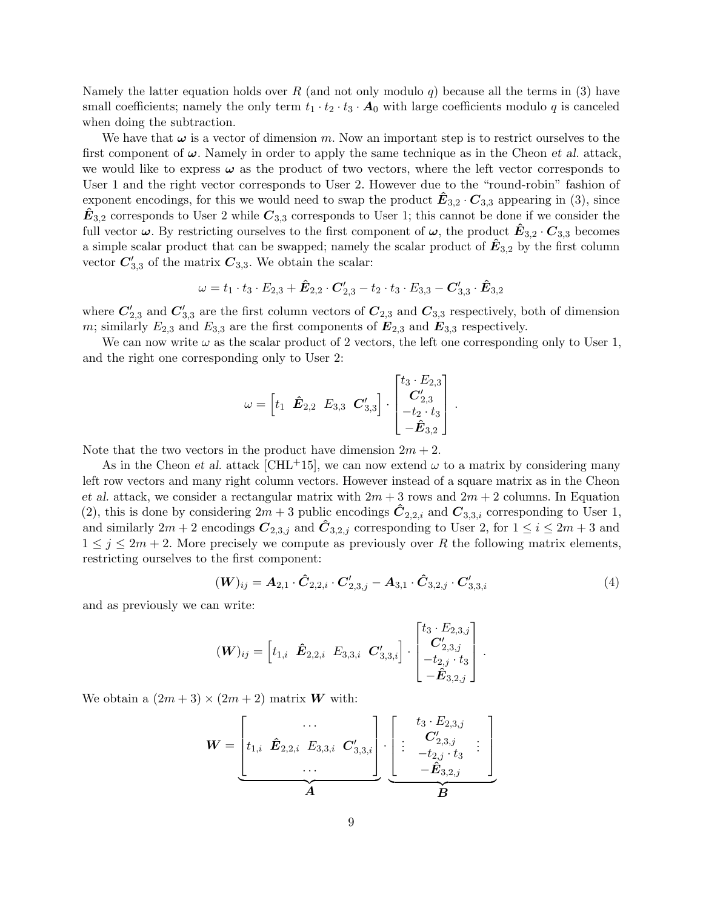Namely the latter equation holds over R (and not only modulo q) because all the terms in (3) have small coefficients; namely the only term  $t_1 \cdot t_2 \cdot t_3 \cdot A_0$  with large coefficients modulo q is canceled when doing the subtraction.

We have that  $\omega$  is a vector of dimension m. Now an important step is to restrict ourselves to the first component of  $\omega$ . Namely in order to apply the same technique as in the Cheon et al. attack. we would like to express  $\omega$  as the product of two vectors, where the left vector corresponds to User 1 and the right vector corresponds to User 2. However due to the "round-robin" fashion of exponent encodings, for this we would need to swap the product  $\mathbf{E}_{3,2} \cdot \mathbf{C}_{3,3}$  appearing in (3), since  $\mathbf{E}_{3,2}$  corresponds to User 2 while  $\mathbf{C}_{3,3}$  corresponds to User 1; this cannot be done if we consider the full vector  $\omega$ . By restricting ourselves to the first component of  $\omega$ , the product  $E_{3,2} \cdot C_{3,3}$  becomes a simple scalar product that can be swapped; namely the scalar product of  $\mathbf{\hat{E}}_{3,2}$  by the first column vector  $C'_{3,3}$  of the matrix  $C_{3,3}$ . We obtain the scalar:

$$
\omega = t_1 \cdot t_3 \cdot E_{2,3} + \hat{E}_{2,2} \cdot C'_{2,3} - t_2 \cdot t_3 \cdot E_{3,3} - C'_{3,3} \cdot \hat{E}_{3,2}
$$

where  $C'_{2,3}$  and  $C'_{3,3}$  are the first column vectors of  $C_{2,3}$  and  $C_{3,3}$  respectively, both of dimension m; similarly  $E_{2,3}$  and  $E_{3,3}$  are the first components of  $\mathbf{E}_{2,3}$  and  $\mathbf{E}_{3,3}$  respectively.

We can now write  $\omega$  as the scalar product of 2 vectors, the left one corresponding only to User 1, and the right one corresponding only to User 2:

$$
\omega = \begin{bmatrix} t_1 & \hat{\mathbf{E}}_{2,2} & E_{3,3} & \mathbf{C}'_{3,3} \end{bmatrix} \cdot \begin{bmatrix} t_3 \cdot E_{2,3} \\ \mathbf{C}'_{2,3} \\ -t_2 \cdot t_3 \\ -\hat{\mathbf{E}}_{3,2} \end{bmatrix}
$$

Note that the two vectors in the product have dimension  $2m + 2$ .

As in the Cheon et al. attack [CHL<sup>+</sup>15], we can now extend  $\omega$  to a matrix by considering many left row vectors and many right column vectors. However instead of a square matrix as in the Cheon et al. attack, we consider a rectangular matrix with  $2m + 3$  rows and  $2m + 2$  columns. In Equation (2), this is done by considering  $2m + 3$  public encodings  $\ddot{C}_{2,2,i}$  and  $C_{3,3,i}$  corresponding to User 1, and similarly  $2m + 2$  encodings  $C_{2,3,j}$  and  $C_{3,2,j}$  corresponding to User 2, for  $1 \le i \le 2m + 3$  and  $1 \leq j \leq 2m+2$ . More precisely we compute as previously over R the following matrix elements, restricting ourselves to the first component:

$$
(\mathbf{W})_{ij} = \mathbf{A}_{2,1} \cdot \hat{\mathbf{C}}_{2,2,i} \cdot \mathbf{C}'_{2,3,j} - \mathbf{A}_{3,1} \cdot \hat{\mathbf{C}}_{3,2,j} \cdot \mathbf{C}'_{3,3,i}
$$
(4)

.

.

and as previously we can write:

$$
(\boldsymbol{W})_{ij} = \begin{bmatrix} t_{1,i} & \hat{\boldsymbol{E}}_{2,2,i} & E_{3,3,i} & \boldsymbol{C}_{3,3,i}' \end{bmatrix} \cdot \begin{bmatrix} t_3 \cdot E_{2,3,j} \\ \boldsymbol{C}_{2,3,j}' \\ -t_{2,j} \cdot t_3 \\ -\hat{\boldsymbol{E}}_{3,2,j} \end{bmatrix}
$$

We obtain a  $(2m+3) \times (2m+2)$  matrix **W** with:

$$
\boldsymbol{W} = \underbrace{\begin{bmatrix} \dots & & & \\ t_{1,i} & \hat{\boldsymbol{E}}_{2,2,i} & E_{3,3,i} & \boldsymbol{C}_{3,3,i}' \\ \dots & & & \end{bmatrix}}_{\boldsymbol{A}} \cdot \underbrace{\begin{bmatrix} t_{3} \cdot E_{2,3,j} \\ \vdots \\ -t_{2,3} \cdot t_{3} \\ -E_{3,2,j} \\ \boldsymbol{B} \end{bmatrix}}_{\boldsymbol{B}} \cdot \underbrace{\begin{bmatrix} \boldsymbol{b}_{1} & \dots & & \\ \vdots & \vdots & \\ \vdots & \vdots & \\ -E_{3,2,j} & \dots & \\ \boldsymbol{B}_{n} & \boldsymbol{B}_{n} \end{bmatrix}}_{\boldsymbol{B}}
$$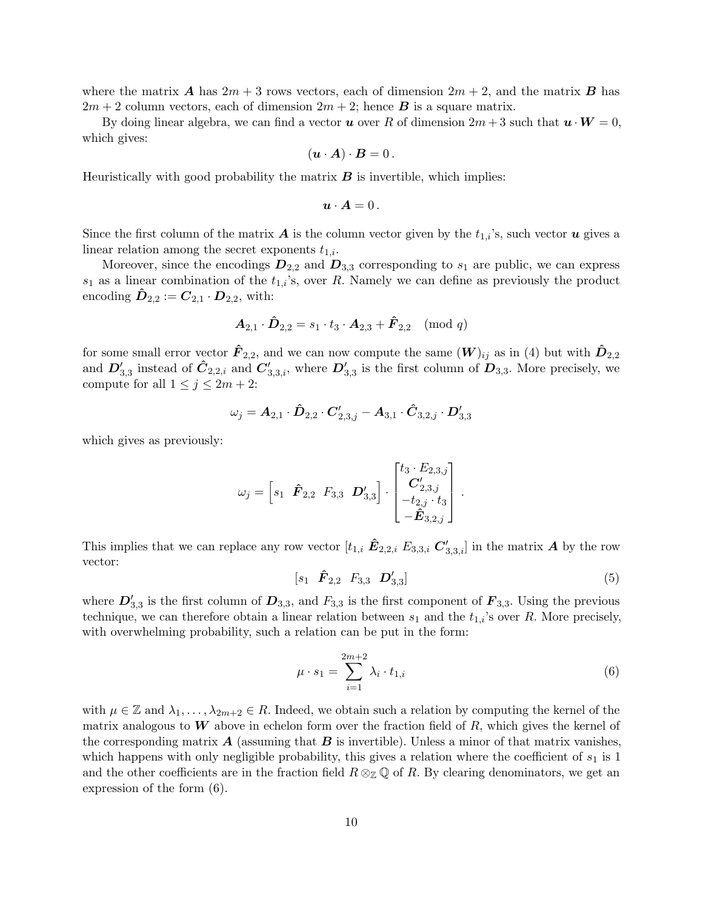where the matrix **A** has  $2m + 3$  rows vectors, each of dimension  $2m + 2$ , and the matrix **B** has  $2m + 2$  column vectors, each of dimension  $2m + 2$ ; hence **B** is a square matrix.

By doing linear algebra, we can find a vector **u** over R of dimension  $2m + 3$  such that  $\mathbf{u} \cdot \mathbf{W} = 0$ , which gives:

$$
(\mathbf{u} \cdot \mathbf{A}) \cdot \mathbf{B} = 0 \, .
$$

Heuristically with good probability the matrix  $\boldsymbol{B}$  is invertible, which implies:

$$
\boldsymbol{u}\cdot\boldsymbol{A}=0\,.
$$

Since the first column of the matrix **A** is the column vector given by the  $t_{1,i}$ 's, such vector **u** gives a linear relation among the secret exponents  $t_{1,i}$ .

Moreover, since the encodings  $D_{2,2}$  and  $D_{3,3}$  corresponding to  $s_1$  are public, we can express  $s_1$  as a linear combination of the  $t_{1,i}$ 's, over R. Namely we can define as previously the product encoding  $\hat{\mathbf{D}}_{2,2} := \mathbf{C}_{2,1} \cdot \mathbf{D}_{2,2}$ , with:

$$
\mathbf{A}_{2,1} \cdot \mathbf{\hat{D}}_{2,2} = s_1 \cdot t_3 \cdot \mathbf{A}_{2,3} + \mathbf{\hat{F}}_{2,2} \pmod{q}
$$

for some small error vector  $\hat{F}_{2,2}$ , and we can now compute the same  $(W)_{ij}$  as in (4) but with  $\hat{D}_{2,2}$ and  $D'_{3,3}$  instead of  $\hat{C}_{2,2,i}$  and  $C'_{3,3,i}$ , where  $D'_{3,3}$  is the first column of  $D_{3,3}$ . More precisely, we compute for all  $1 \leq j \leq 2m + 2$ :

$$
\omega_j = A_{2,1} \cdot \hat{D}_{2,2} \cdot C'_{2,3,j} - A_{3,1} \cdot \hat{C}_{3,2,j} \cdot D'_{3,3}
$$

which gives as previously:

$$
\omega_j = \begin{bmatrix} s_1 & \hat{\boldsymbol{F}}_{2,2} & F_{3,3} & \boldsymbol{D}_{3,3}' \end{bmatrix} \cdot \begin{bmatrix} t_3 \cdot E_{2,3,j} \\ \boldsymbol{C}_{2,3,j}' \\ -t_{2,j} \cdot t_3 \\ -\hat{\boldsymbol{E}}_{3,2,j} \end{bmatrix}
$$

This implies that we can replace any row vector  $[t_{1,i} \hat{E}_{2,2,i} E_{3,3,i} C'_{3,3,i}]$  in the matrix  $A$  by the row vector:

$$
[s_1 \quad \hat{F}_{2,2} \quad F_{3,3} \quad D'_{3,3}] \tag{5}
$$

.

where  $D'_{3,3}$  is the first column of  $D_{3,3}$ , and  $F_{3,3}$  is the first component of  $\mathbf{F}_{3,3}$ . Using the previous technique, we can therefore obtain a linear relation between  $s_1$  and the  $t_{1,i}$ 's over R. More precisely, with overwhelming probability, such a relation can be put in the form:

$$
\mu \cdot s_1 = \sum_{i=1}^{2m+2} \lambda_i \cdot t_{1,i} \tag{6}
$$

with  $\mu \in \mathbb{Z}$  and  $\lambda_1, \ldots, \lambda_{2m+2} \in R$ . Indeed, we obtain such a relation by computing the kernel of the matrix analogous to  $W$  above in echelon form over the fraction field of  $R$ , which gives the kernel of the corresponding matrix  $\bm{A}$  (assuming that  $\bm{B}$  is invertible). Unless a minor of that matrix vanishes, which happens with only negligible probability, this gives a relation where the coefficient of  $s<sub>1</sub>$  is 1 and the other coefficients are in the fraction field  $R \otimes_{\mathbb{Z}} \mathbb{Q}$  of R. By clearing denominators, we get an expression of the form (6).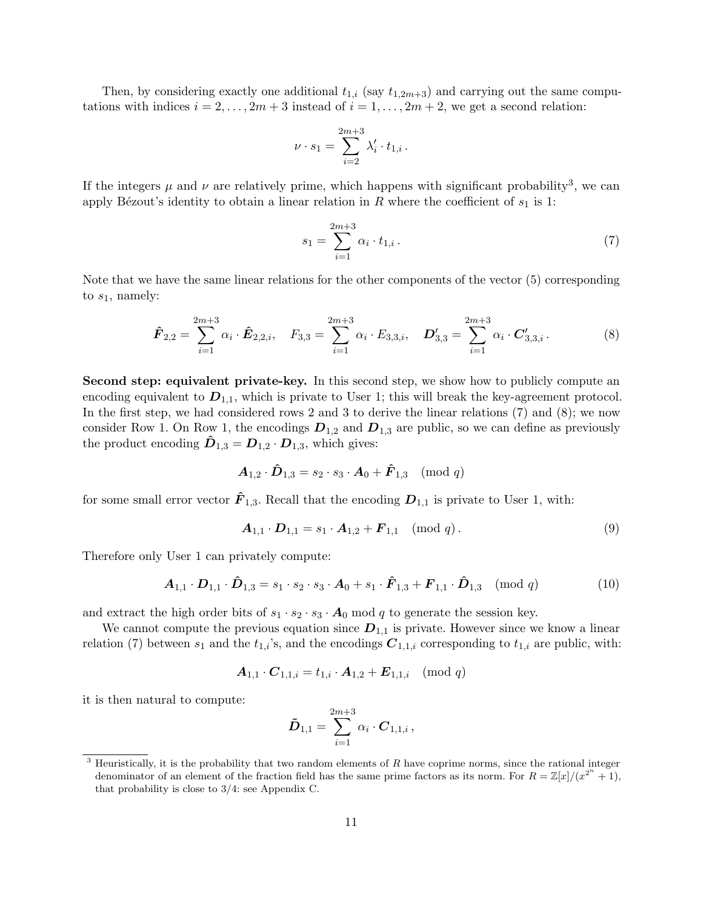Then, by considering exactly one additional  $t_{1,i}$  (say  $t_{1,2m+3}$ ) and carrying out the same computations with indices  $i = 2, ..., 2m + 3$  instead of  $i = 1, ..., 2m + 2$ , we get a second relation:

$$
\nu\cdot s_1=\sum_{i=2}^{2m+3}\lambda'_i\cdot t_{1,i}\,.
$$

If the integers  $\mu$  and  $\nu$  are relatively prime, which happens with significant probability<sup>3</sup>, we can apply Bézout's identity to obtain a linear relation in R where the coefficient of  $s_1$  is 1:

$$
s_1 = \sum_{i=1}^{2m+3} \alpha_i \cdot t_{1,i} \,. \tag{7}
$$

Note that we have the same linear relations for the other components of the vector (5) corresponding to  $s_1$ , namely:

$$
\hat{F}_{2,2} = \sum_{i=1}^{2m+3} \alpha_i \cdot \hat{E}_{2,2,i}, \quad F_{3,3} = \sum_{i=1}^{2m+3} \alpha_i \cdot E_{3,3,i}, \quad D'_{3,3} = \sum_{i=1}^{2m+3} \alpha_i \cdot C'_{3,3,i}.
$$
 (8)

Second step: equivalent private-key. In this second step, we show how to publicly compute an encoding equivalent to  $D_{1,1}$ , which is private to User 1; this will break the key-agreement protocol. In the first step, we had considered rows 2 and 3 to derive the linear relations (7) and (8); we now consider Row 1. On Row 1, the encodings  $D_{1,2}$  and  $D_{1,3}$  are public, so we can define as previously the product encoding  $\ddot{\bm{D}}_{1,3} = \bm{D}_{1,2} \cdot \bm{D}_{1,3}$ , which gives:

$$
\mathbf{A}_{1,2} \cdot \mathbf{\hat{D}}_{1,3} = s_2 \cdot s_3 \cdot \mathbf{A}_0 + \mathbf{\hat{F}}_{1,3} \pmod{q}
$$

for some small error vector  $\mathbf{F}_{1,3}$ . Recall that the encoding  $\mathbf{D}_{1,1}$  is private to User 1, with:

$$
\mathbf{A}_{1,1} \cdot \mathbf{D}_{1,1} = s_1 \cdot \mathbf{A}_{1,2} + \mathbf{F}_{1,1} \pmod{q} \,. \tag{9}
$$

Therefore only User 1 can privately compute:

$$
\mathbf{A}_{1,1} \cdot \mathbf{D}_{1,1} \cdot \hat{\mathbf{D}}_{1,3} = s_1 \cdot s_2 \cdot s_3 \cdot \mathbf{A}_0 + s_1 \cdot \hat{\mathbf{F}}_{1,3} + \mathbf{F}_{1,1} \cdot \hat{\mathbf{D}}_{1,3} \pmod{q} \tag{10}
$$

and extract the high order bits of  $s_1 \cdot s_2 \cdot s_3 \cdot A_0$  mod q to generate the session key.

We cannot compute the previous equation since  $D_{1,1}$  is private. However since we know a linear relation (7) between  $s_1$  and the  $t_{1,i}$ 's, and the encodings  $C_{1,1,i}$  corresponding to  $t_{1,i}$  are public, with:

$$
\mathbf{A}_{1,1} \cdot \mathbf{C}_{1,1,i} = t_{1,i} \cdot \mathbf{A}_{1,2} + \mathbf{E}_{1,1,i} \pmod{q}
$$

it is then natural to compute:

$$
\tilde{\bm{D}}_{1,1} = \sum_{i=1}^{2m+3} \alpha_i \cdot \bm{C}_{1,1,i} \,,
$$

 $3$  Heuristically, it is the probability that two random elements of R have coprime norms, since the rational integer denominator of an element of the fraction field has the same prime factors as its norm. For  $R = \mathbb{Z}[x]/(x^{2^n} + 1)$ , that probability is close to 3/4: see Appendix C.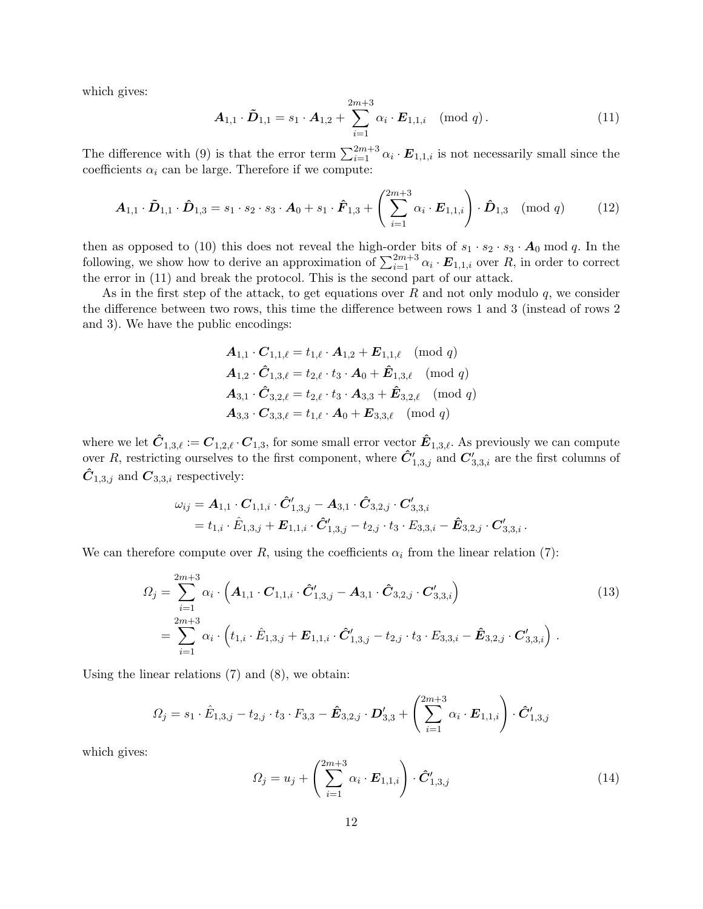which gives:

$$
\boldsymbol{A}_{1,1} \cdot \boldsymbol{\tilde{D}}_{1,1} = s_1 \cdot \boldsymbol{A}_{1,2} + \sum_{i=1}^{2m+3} \alpha_i \cdot \boldsymbol{E}_{1,1,i} \pmod{q} . \tag{11}
$$

The difference with (9) is that the error term  $\sum_{i=1}^{2m+3} \alpha_i \cdot E_{1,1,i}$  is not necessarily small since the coefficients  $\alpha_i$  can be large. Therefore if we compute:

$$
\boldsymbol{A}_{1,1} \cdot \tilde{\boldsymbol{D}}_{1,1} \cdot \hat{\boldsymbol{D}}_{1,3} = s_1 \cdot s_2 \cdot s_3 \cdot \boldsymbol{A}_0 + s_1 \cdot \hat{\boldsymbol{F}}_{1,3} + \left( \sum_{i=1}^{2m+3} \alpha_i \cdot \boldsymbol{E}_{1,1,i} \right) \cdot \hat{\boldsymbol{D}}_{1,3} \pmod{q} \tag{12}
$$

then as opposed to (10) this does not reveal the high-order bits of  $s_1 \cdot s_2 \cdot s_3 \cdot A_0$  mod q. In the following, we show how to derive an approximation of  $\sum_{i=1}^{2m+3} \alpha_i \cdot E_{1,1,i}$  over R, in order to correct the error in (11) and break the protocol. This is the second part of our attack.

As in the first step of the attack, to get equations over  $R$  and not only modulo  $q$ , we consider the difference between two rows, this time the difference between rows 1 and 3 (instead of rows 2 and 3). We have the public encodings:

$$
A_{1,1} \cdot C_{1,1,\ell} = t_{1,\ell} \cdot A_{1,2} + E_{1,1,\ell} \pmod{q}
$$
  
\n
$$
A_{1,2} \cdot \hat{C}_{1,3,\ell} = t_{2,\ell} \cdot t_3 \cdot A_0 + \hat{E}_{1,3,\ell} \pmod{q}
$$
  
\n
$$
A_{3,1} \cdot \hat{C}_{3,2,\ell} = t_{2,\ell} \cdot t_3 \cdot A_{3,3} + \hat{E}_{3,2,\ell} \pmod{q}
$$
  
\n
$$
A_{3,3} \cdot C_{3,3,\ell} = t_{1,\ell} \cdot A_0 + E_{3,3,\ell} \pmod{q}
$$

where we let  $\hat{\mathbf{C}}_{1,3,\ell} := \mathbf{C}_{1,2,\ell} \cdot \mathbf{C}_{1,3}$ , for some small error vector  $\hat{\mathbf{E}}_{1,3,\ell}$ . As previously we can compute over R, restricting ourselves to the first component, where  $\hat{C}'_{1,3,j}$  and  $C'_{3,3,i}$  are the first columns of  $\tilde{\mathbf{C}}_{1,3,j}$  and  $\mathbf{C}_{3,3,i}$  respectively:

$$
\begin{aligned} \omega_{ij} &= \bm A_{1,1} \cdot \bm C_{1,1,i} \cdot \bm{\hat C}_{1,3,j}' - \bm A_{3,1} \cdot \bm{\hat C}_{3,2,j} \cdot \bm C_{3,3,i}' \\ &= t_{1,i} \cdot \hat E_{1,3,j} + \bm E_{1,1,i} \cdot \bm{\hat C}_{1,3,j}' - t_{2,j} \cdot t_3 \cdot E_{3,3,i} - \bm{\hat E}_{3,2,j} \cdot \bm C_{3,3,i}' \,. \end{aligned}
$$

We can therefore compute over R, using the coefficients  $\alpha_i$  from the linear relation (7):

$$
\Omega_{j} = \sum_{i=1}^{2m+3} \alpha_{i} \cdot \left( \mathbf{A}_{1,1} \cdot \mathbf{C}_{1,1,i} \cdot \hat{\mathbf{C}}'_{1,3,j} - \mathbf{A}_{3,1} \cdot \hat{\mathbf{C}}_{3,2,j} \cdot \mathbf{C}'_{3,3,i} \right) \n= \sum_{i=1}^{2m+3} \alpha_{i} \cdot \left( t_{1,i} \cdot \hat{E}_{1,3,j} + \mathbf{E}_{1,1,i} \cdot \hat{\mathbf{C}}'_{1,3,j} - t_{2,j} \cdot t_{3} \cdot E_{3,3,i} - \hat{\mathbf{E}}_{3,2,j} \cdot \mathbf{C}'_{3,3,i} \right).
$$
\n(13)

Using the linear relations (7) and (8), we obtain:

$$
\Omega_j = s_1 \cdot \hat{E}_{1,3,j} - t_{2,j} \cdot t_3 \cdot F_{3,3} - \hat{E}_{3,2,j} \cdot D'_{3,3} + \left( \sum_{i=1}^{2m+3} \alpha_i \cdot E_{1,1,i} \right) \cdot \hat{C}'_{1,3,j}
$$

which gives:

$$
\Omega_j = u_j + \left(\sum_{i=1}^{2m+3} \alpha_i \cdot \mathbf{E}_{1,1,i}\right) \cdot \hat{C}'_{1,3,j} \tag{14}
$$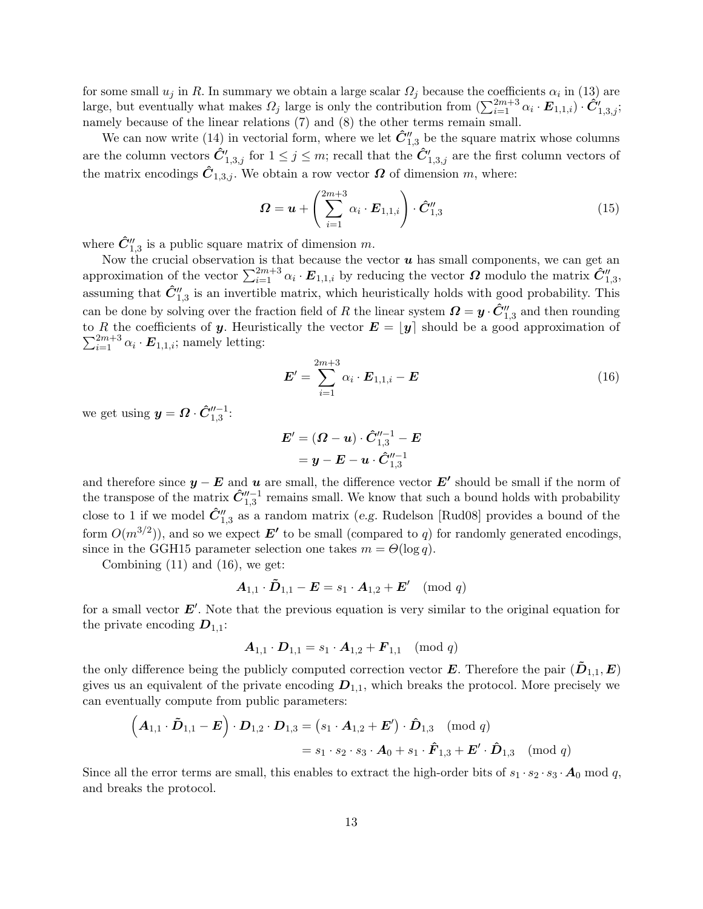for some small  $u_j$  in R. In summary we obtain a large scalar  $\Omega_j$  because the coefficients  $\alpha_i$  in (13) are large, but eventually what makes  $\Omega_j$  large is only the contribution from  $(\sum_{i=1}^{2m+3} \alpha_i \cdot \mathbf{E}_{1,1,i}) \cdot \hat{\mathbf{C}}'_{1,3,j};$ namely because of the linear relations (7) and (8) the other terms remain small.

We can now write (14) in vectorial form, where we let  $\hat{C}_{1,3}^{"}$  be the square matrix whose columns are the column vectors  $\hat{C}'_{1,3,j}$  for  $1 \leq j \leq m$ ; recall that the  $\hat{C}'_{1,3,j}$  are the first column vectors of the matrix encodings  $\hat{C}_{1,3,j}$ . We obtain a row vector  $\Omega$  of dimension m, where:

$$
\boldsymbol{\Omega} = \boldsymbol{u} + \left(\sum_{i=1}^{2m+3} \alpha_i \cdot \boldsymbol{E}_{1,1,i}\right) \cdot \hat{\boldsymbol{C}}_{1,3}''
$$
\n(15)

where  $\hat{C}_{1,3}''$  is a public square matrix of dimension m.

Now the crucial observation is that because the vector  $u$  has small components, we can get an approximation of the vector  $\sum_{i=1}^{2m+3} \alpha_i \cdot E_{1,1,i}$  by reducing the vector  $\Omega$  modulo the matrix  $\hat{C}_{1,3}'$ , assuming that  $\hat{C}_{1,3}''$  is an invertible matrix, which heuristically holds with good probability. This can be done by solving over the fraction field of R the linear system  $\mathbf{\Omega} = \mathbf{y} \cdot \hat{\mathbf{C}}_{1,3}''$  and then rounding to R the coefficients of y. Heuristically the vector  $E = |y|$  should be a good approximation of  $\sum_{i=1}^{2m+3} \alpha_i \cdot \mathbf{E}_{1,1,i}$ ; namely letting:

$$
\boldsymbol{E}' = \sum_{i=1}^{2m+3} \alpha_i \cdot \boldsymbol{E}_{1,1,i} - \boldsymbol{E}
$$
 (16)

we get using  $y = \Omega \cdot \hat{C}_{1,3}^{"-1}$ :

$$
\begin{aligned} \bm{E}' = (\bm{\varOmega}-\bm{u}) \cdot \hat{\bm{C}}_{1,3}''^{-1} - \bm{E} \\ = \bm{y} - \bm{E} - \bm{u} \cdot \hat{\bm{C}}_{1,3}''^{-1} \end{aligned}
$$

and therefore since  $y - E$  and u are small, the difference vector  $E'$  should be small if the norm of the transpose of the matrix  $\hat{C}_{1,3}''^{-1}$  remains small. We know that such a bound holds with probability close to 1 if we model  $\hat{C}_{1,3}''$  as a random matrix (e.g. Rudelson [Rud08] provides a bound of the form  $O(m^{3/2})$ ), and so we expect  $E'$  to be small (compared to q) for randomly generated encodings, since in the GGH15 parameter selection one takes  $m = \Theta(\log q)$ .

Combining  $(11)$  and  $(16)$ , we get:

$$
\mathbf{A}_{1,1} \cdot \mathbf{\tilde{D}}_{1,1} - \mathbf{E} = s_1 \cdot \mathbf{A}_{1,2} + \mathbf{E}' \pmod{q}
$$

for a small vector  $E'$ . Note that the previous equation is very similar to the original equation for the private encoding  $D_{1,1}$ :

$$
A_{1,1} \cdot D_{1,1} = s_1 \cdot A_{1,2} + F_{1,1} \pmod{q}
$$

the only difference being the publicly computed correction vector E. Therefore the pair  $(D_{1,1}, E)$ gives us an equivalent of the private encoding  $D_{1,1}$ , which breaks the protocol. More precisely we can eventually compute from public parameters:

$$
\left(\boldsymbol{A}_{1,1}\cdot\boldsymbol{\tilde{D}}_{1,1}-\boldsymbol{E}\right)\cdot\boldsymbol{D}_{1,2}\cdot\boldsymbol{D}_{1,3}=\left(s_1\cdot\boldsymbol{A}_{1,2}+\boldsymbol{E}'\right)\cdot\boldsymbol{\hat{D}}_{1,3}\pmod{q}
$$

$$
=s_1\cdot s_2\cdot s_3\cdot\boldsymbol{A}_0+s_1\cdot\boldsymbol{\hat{F}}_{1,3}+\boldsymbol{E}'\cdot\boldsymbol{\hat{D}}_{1,3}\pmod{q}
$$

Since all the error terms are small, this enables to extract the high-order bits of  $s_1 \cdot s_2 \cdot s_3 \cdot A_0 \mod q$ , and breaks the protocol.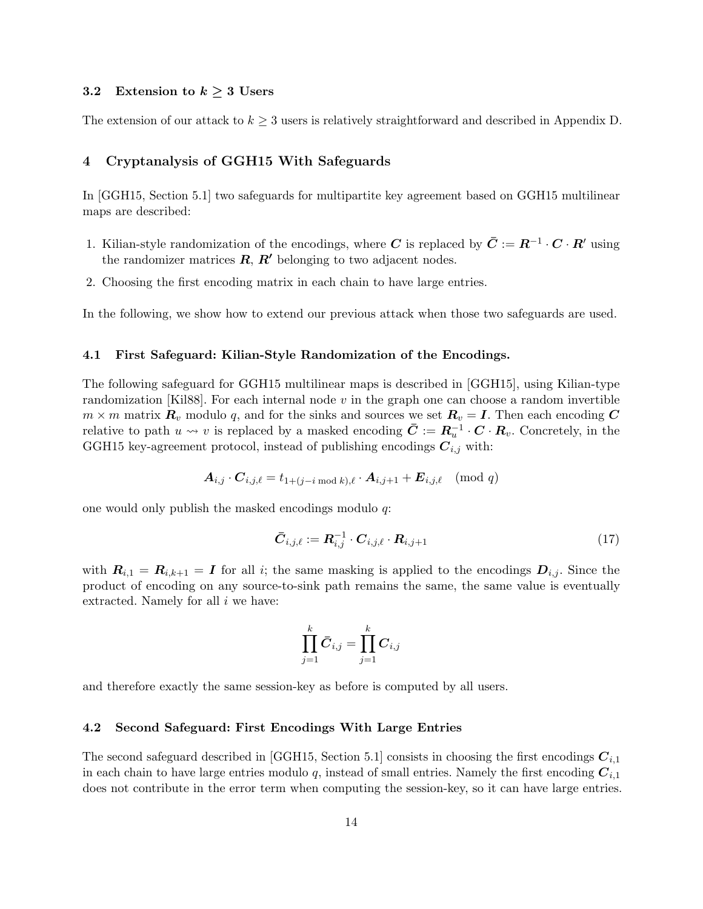## 3.2 Extension to  $k \geq 3$  Users

The extension of our attack to  $k \geq 3$  users is relatively straightforward and described in Appendix D.

## 4 Cryptanalysis of GGH15 With Safeguards

In [GGH15, Section 5.1] two safeguards for multipartite key agreement based on GGH15 multilinear maps are described:

- 1. Kilian-style randomization of the encodings, where C is replaced by  $\bar{C} := R^{-1} \cdot C \cdot R'$  using the randomizer matrices  $\mathbf{R}, \mathbf{R}'$  belonging to two adjacent nodes.
- 2. Choosing the first encoding matrix in each chain to have large entries.

In the following, we show how to extend our previous attack when those two safeguards are used.

## 4.1 First Safeguard: Kilian-Style Randomization of the Encodings.

The following safeguard for GGH15 multilinear maps is described in [GGH15], using Kilian-type randomization [Kil88]. For each internal node v in the graph one can choose a random invertible  $m \times m$  matrix  $\mathbf{R}_v$  modulo q, and for the sinks and sources we set  $\mathbf{R}_v = \mathbf{I}$ . Then each encoding C relative to path  $u \leadsto v$  is replaced by a masked encoding  $\bar{\mathbf{C}} := \mathbf{R}_u^{-1} \cdot \mathbf{C} \cdot \mathbf{R}_v$ . Concretely, in the GGH15 key-agreement protocol, instead of publishing encodings  $C_{i,j}$  with:

$$
\boldsymbol{A}_{i,j} \cdot \boldsymbol{C}_{i,j,\ell} = t_{1+(j-i \bmod k),\ell} \cdot \boldsymbol{A}_{i,j+1} + \boldsymbol{E}_{i,j,\ell} \pmod{q}
$$

one would only publish the masked encodings modulo q:

$$
\bar{\boldsymbol{C}}_{i,j,\ell} := \boldsymbol{R}_{i,j}^{-1} \cdot \boldsymbol{C}_{i,j,\ell} \cdot \boldsymbol{R}_{i,j+1} \tag{17}
$$

with  $R_{i,1} = R_{i,k+1} = I$  for all i; the same masking is applied to the encodings  $D_{i,j}$ . Since the product of encoding on any source-to-sink path remains the same, the same value is eventually extracted. Namely for all i we have:

$$
\prod_{j=1}^k \bar{\boldsymbol{C}}_{i,j} = \prod_{j=1}^k \boldsymbol{C}_{i,j}
$$

and therefore exactly the same session-key as before is computed by all users.

#### 4.2 Second Safeguard: First Encodings With Large Entries

The second safeguard described in [GGH15, Section 5.1] consists in choosing the first encodings  $C_{i,1}$ in each chain to have large entries modulo q, instead of small entries. Namely the first encoding  $C_{i,1}$ does not contribute in the error term when computing the session-key, so it can have large entries.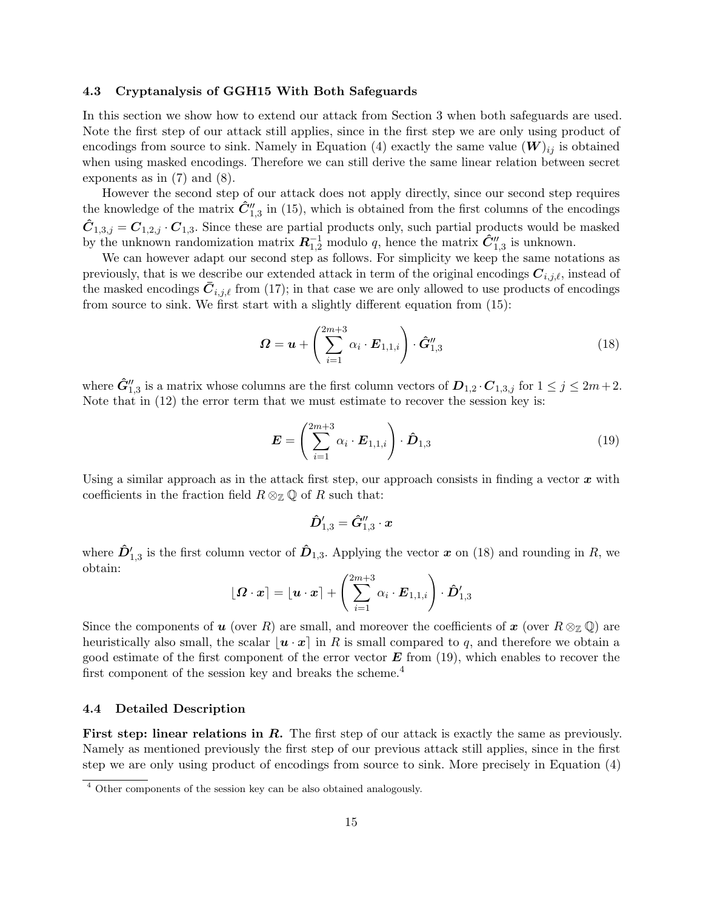#### 4.3 Cryptanalysis of GGH15 With Both Safeguards

In this section we show how to extend our attack from Section 3 when both safeguards are used. Note the first step of our attack still applies, since in the first step we are only using product of encodings from source to sink. Namely in Equation (4) exactly the same value  $(W)_{ij}$  is obtained when using masked encodings. Therefore we can still derive the same linear relation between secret exponents as in (7) and (8).

However the second step of our attack does not apply directly, since our second step requires the knowledge of the matrix  $\hat{C}''_{1,3}$  in (15), which is obtained from the first columns of the encodings  $\hat{C}_{1,3,j} = C_{1,2,j} \cdot C_{1,3}$ . Since these are partial products only, such partial products would be masked by the unknown randomization matrix  $R_{1,2}^{-1}$  modulo q, hence the matrix  $\hat{C}_{1,3}''$  is unknown.

We can however adapt our second step as follows. For simplicity we keep the same notations as previously, that is we describe our extended attack in term of the original encodings  $C_{i,j,\ell}$ , instead of the masked encodings  $C_{i,j,\ell}$  from (17); in that case we are only allowed to use products of encodings from source to sink. We first start with a slightly different equation from (15):

$$
\boldsymbol{\Omega} = \boldsymbol{u} + \left(\sum_{i=1}^{2m+3} \alpha_i \cdot \boldsymbol{E}_{1,1,i}\right) \cdot \hat{\boldsymbol{G}}_{1,3}^{\prime\prime} \tag{18}
$$

where  $\hat{G}''_{1,3}$  is a matrix whose columns are the first column vectors of  $D_{1,2} \cdot C_{1,3,j}$  for  $1 \le j \le 2m+2$ . Note that in (12) the error term that we must estimate to recover the session key is:

$$
\boldsymbol{E} = \left(\sum_{i=1}^{2m+3} \alpha_i \cdot \boldsymbol{E}_{1,1,i}\right) \cdot \boldsymbol{\hat{D}}_{1,3} \tag{19}
$$

Using a similar approach as in the attack first step, our approach consists in finding a vector  $x$  with coefficients in the fraction field  $R \otimes_{\mathbb{Z}} \mathbb{Q}$  of R such that:

$$
\hat{\boldsymbol{D}}_{1,3}^\prime=\hat{\boldsymbol{G}}_{1,3}^{\prime\prime}\cdot\boldsymbol{x}
$$

where  $\hat{D}_{1,3}'$  is the first column vector of  $\hat{D}_{1,3}$ . Applying the vector x on (18) and rounding in R, we obtain:

$$
\lfloor \boldsymbol{\varOmega}\cdot \boldsymbol{x}\rceil = \lfloor \boldsymbol{u}\cdot \boldsymbol{x}\rceil + \left(\sum_{i=1}^{2m+3}\alpha_i\cdot \boldsymbol{E}_{1,1,i}\right)\cdot \hat{\boldsymbol{D}}_{1,3}'
$$

Since the components of u (over R) are small, and moreover the coefficients of x (over  $R \otimes_{\mathbb{Z}} \mathbb{Q}$ ) are heuristically also small, the scalar  $\vert \mathbf{u} \cdot \mathbf{x} \vert$  in R is small compared to q, and therefore we obtain a good estimate of the first component of the error vector  $E$  from (19), which enables to recover the first component of the session key and breaks the scheme.<sup>4</sup>

#### 4.4 Detailed Description

First step: linear relations in R. The first step of our attack is exactly the same as previously. Namely as mentioned previously the first step of our previous attack still applies, since in the first step we are only using product of encodings from source to sink. More precisely in Equation (4)

<sup>4</sup> Other components of the session key can be also obtained analogously.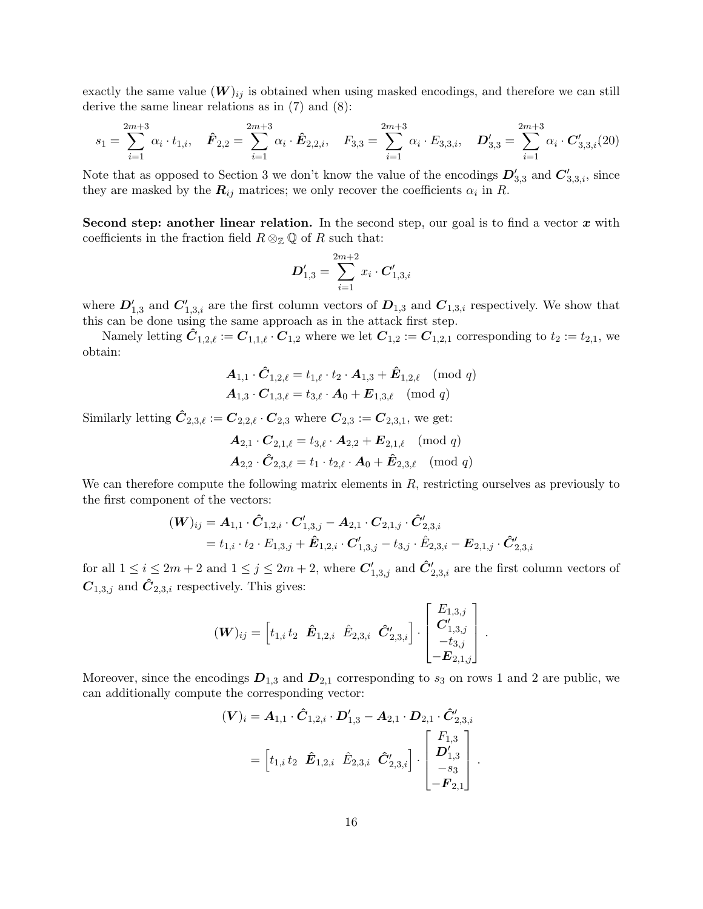exactly the same value  $(W)_{ij}$  is obtained when using masked encodings, and therefore we can still derive the same linear relations as in (7) and (8):

$$
s_1 = \sum_{i=1}^{2m+3} \alpha_i \cdot t_{1,i}, \quad \hat{F}_{2,2} = \sum_{i=1}^{2m+3} \alpha_i \cdot \hat{E}_{2,2,i}, \quad F_{3,3} = \sum_{i=1}^{2m+3} \alpha_i \cdot E_{3,3,i}, \quad D'_{3,3} = \sum_{i=1}^{2m+3} \alpha_i \cdot C'_{3,3,i}(20)
$$

Note that as opposed to Section 3 we don't know the value of the encodings  $D'_{3,3}$  and  $C'_{3,3,i}$ , since they are masked by the  $R_{ij}$  matrices; we only recover the coefficients  $\alpha_i$  in R.

Second step: another linear relation. In the second step, our goal is to find a vector  $x$  with coefficients in the fraction field  $R \otimes_{\mathbb{Z}} \mathbb{Q}$  of R such that:

$$
\bm{D}_{1,3}' = \sum_{i=1}^{2m+2} x_i \cdot \bm{C}_{1,3,i}'
$$

where  $D'_{1,3}$  and  $C'_{1,3,i}$  are the first column vectors of  $D_{1,3}$  and  $C_{1,3,i}$  respectively. We show that this can be done using the same approach as in the attack first step.

Namely letting  $C_{1,2,\ell} := C_{1,1,\ell} \cdot C_{1,2}$  where we let  $C_{1,2} := C_{1,2,1}$  corresponding to  $t_2 := t_{2,1}$ , we obtain:

$$
\begin{aligned} \mathbf{A}_{1,1} \cdot \hat{\mathbf{C}}_{1,2,\ell} &= t_{1,\ell} \cdot t_2 \cdot \mathbf{A}_{1,3} + \hat{\mathbf{E}}_{1,2,\ell} \pmod{q} \\ \mathbf{A}_{1,3} \cdot \mathbf{C}_{1,3,\ell} &= t_{3,\ell} \cdot \mathbf{A}_0 + \mathbf{E}_{1,3,\ell} \pmod{q} \end{aligned}
$$

Similarly letting  $\hat{C}_{2,3,\ell} := C_{2,2,\ell} \cdot C_{2,3}$  where  $C_{2,3} := C_{2,3,1}$ , we get:

$$
\begin{aligned} \mathbf{A}_{2,1} \cdot \mathbf{C}_{2,1,\ell} &= t_{3,\ell} \cdot \mathbf{A}_{2,2} + \mathbf{E}_{2,1,\ell} \pmod{q} \\ \mathbf{A}_{2,2} \cdot \hat{\mathbf{C}}_{2,3,\ell} &= t_1 \cdot t_{2,\ell} \cdot \mathbf{A}_0 + \hat{\mathbf{E}}_{2,3,\ell} \pmod{q} \end{aligned}
$$

We can therefore compute the following matrix elements in  $R$ , restricting ourselves as previously to the first component of the vectors:

$$
\begin{aligned} (\boldsymbol{W})_{ij} &= \boldsymbol{A}_{1,1} \cdot \boldsymbol{\hat{C}}_{1,2,i} \cdot \boldsymbol{C}_{1,3,j}' - \boldsymbol{A}_{2,1} \cdot \boldsymbol{C}_{2,1,j} \cdot \boldsymbol{\hat{C}}_{2,3,i}' \\ &= t_{1,i} \cdot t_2 \cdot E_{1,3,j} + \boldsymbol{\hat{E}}_{1,2,i} \cdot \boldsymbol{C}_{1,3,j}' - t_{3,j} \cdot \boldsymbol{\hat{E}}_{2,3,i} - \boldsymbol{E}_{2,1,j} \cdot \boldsymbol{\hat{C}}_{2,3,i}' \end{aligned}
$$

for all  $1 \le i \le 2m+2$  and  $1 \le j \le 2m+2$ , where  $\mathbf{C}'_{1,3,j}$  and  $\hat{\mathbf{C}}'_{2,3,i}$  are the first column vectors of  $C_{1,3,j}$  and  $\hat{C}_{2,3,i}$  respectively. This gives:

$$
(\boldsymbol{W})_{ij} = \begin{bmatrix} t_{1,i} t_2 & \hat{\boldsymbol{E}}_{1,2,i} & \hat{E}_{2,3,i} & \hat{\boldsymbol{C}}_{2,3,i}' \end{bmatrix} \cdot \begin{bmatrix} E_{1,3,j} \\ \boldsymbol{C}_{1,3,j}' \\ -t_{3,j}' \\ -\boldsymbol{E}_{2,1,j} \end{bmatrix}
$$

.

Moreover, since the encodings  $D_{1,3}$  and  $D_{2,1}$  corresponding to  $s_3$  on rows 1 and 2 are public, we can additionally compute the corresponding vector:

$$
(\boldsymbol{V})_i = \boldsymbol{A}_{1,1} \cdot \boldsymbol{\hat{C}}_{1,2,i} \cdot \boldsymbol{D}'_{1,3} - \boldsymbol{A}_{2,1} \cdot \boldsymbol{D}_{2,1} \cdot \boldsymbol{\hat{C}}'_{2,3,i}
$$
  
=  $\begin{bmatrix} t_{1,i} t_2 & \boldsymbol{\hat{E}}_{1,2,i} & \boldsymbol{\hat{E}}_{2,3,i} & \boldsymbol{\hat{C}}'_{2,3,i} \end{bmatrix} \cdot \begin{bmatrix} F_{1,3} \\ \boldsymbol{D}'_{1,3} \\ -s_3 \\ -F_{2,1} \end{bmatrix}.$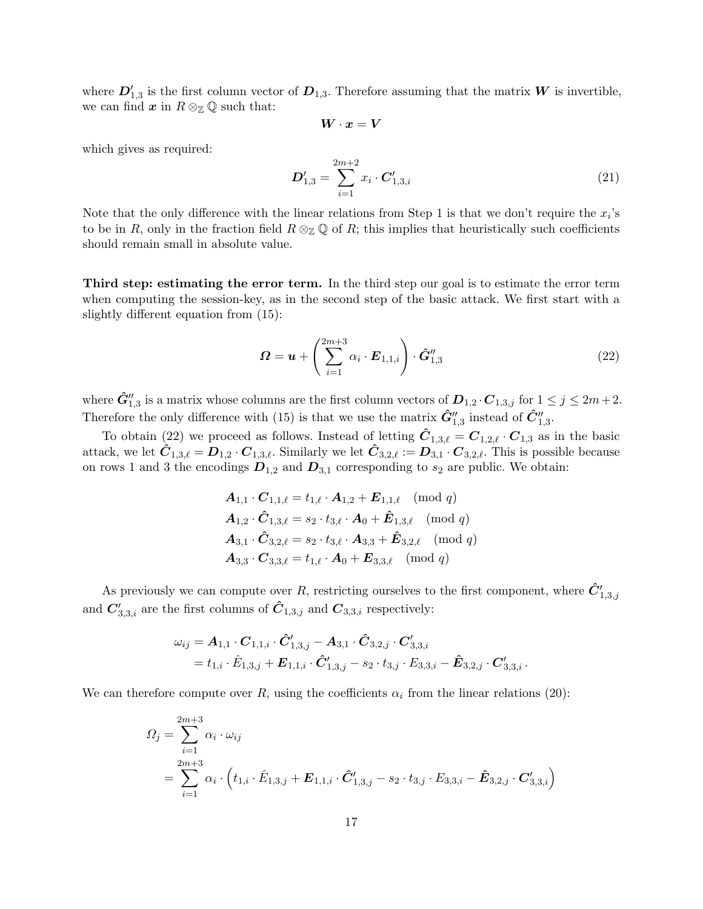where  $D'_{1,3}$  is the first column vector of  $D_{1,3}$ . Therefore assuming that the matrix W is invertible, we can find  $x$  in  $R \otimes_{\mathbb{Z}} \mathbb{Q}$  such that:

$$
\pmb W \cdot \pmb x = \pmb V
$$

which gives as required:

$$
D'_{1,3} = \sum_{i=1}^{2m+2} x_i \cdot C'_{1,3,i} \tag{21}
$$

Note that the only difference with the linear relations from Step 1 is that we don't require the  $x_i$ 's to be in R, only in the fraction field  $R \otimes_{\mathbb{Z}} \mathbb{Q}$  of R; this implies that heuristically such coefficients should remain small in absolute value.

Third step: estimating the error term. In the third step our goal is to estimate the error term when computing the session-key, as in the second step of the basic attack. We first start with a slightly different equation from (15):

$$
\boldsymbol{\Omega} = \boldsymbol{u} + \left(\sum_{i=1}^{2m+3} \alpha_i \cdot \boldsymbol{E}_{1,1,i}\right) \cdot \hat{\boldsymbol{G}}_{1,3}^{\prime\prime} \tag{22}
$$

where  $\hat{G}''_{1,3}$  is a matrix whose columns are the first column vectors of  $D_{1,2} \cdot C_{1,3,j}$  for  $1 \le j \le 2m+2$ . Therefore the only difference with (15) is that we use the matrix  $\hat{G}''_{1,3}$  instead of  $\hat{C}''_{1,3}$ .

To obtain (22) we proceed as follows. Instead of letting  $\hat{C}_{1,3,\ell} = C_{1,2,\ell} \cdot C_{1,3}$  as in the basic attack, we let  $C_{1,3,\ell} = D_{1,2} \cdot C_{1,3,\ell}$ . Similarly we let  $C_{3,2,\ell} := D_{3,1} \cdot C_{3,2,\ell}$ . This is possible because on rows 1 and 3 the encodings  $D_{1,2}$  and  $D_{3,1}$  corresponding to  $s_2$  are public. We obtain:

$$
A_{1,1} \cdot C_{1,1,\ell} = t_{1,\ell} \cdot A_{1,2} + E_{1,1,\ell} \pmod{q}
$$
  
\n
$$
A_{1,2} \cdot \hat{C}_{1,3,\ell} = s_2 \cdot t_{3,\ell} \cdot A_0 + \hat{E}_{1,3,\ell} \pmod{q}
$$
  
\n
$$
A_{3,1} \cdot \hat{C}_{3,2,\ell} = s_2 \cdot t_{3,\ell} \cdot A_{3,3} + \hat{E}_{3,2,\ell} \pmod{q}
$$
  
\n
$$
A_{3,3} \cdot C_{3,3,\ell} = t_{1,\ell} \cdot A_0 + E_{3,3,\ell} \pmod{q}
$$

As previously we can compute over R, restricting ourselves to the first component, where  $\hat{C}^{\prime}_{1,3,j}$ and  $C'_{3,3,i}$  are the first columns of  $\hat{C}_{1,3,j}$  and  $C_{3,3,i}$  respectively:

$$
\begin{aligned} \omega_{ij} &= \bm A_{1,1} \cdot \bm C_{1,1,i} \cdot \hat{\bm C}_{1,3,j}' - \bm A_{3,1} \cdot \hat{\bm C}_{3,2,j} \cdot \bm C_{3,3,i}' \\ &= t_{1,i} \cdot \hat E_{1,3,j} + \bm E_{1,1,i} \cdot \hat{\bm C}_{1,3,j}' - s_2 \cdot t_{3,j} \cdot E_{3,3,i} - \hat{\bm E}_{3,2,j} \cdot \bm C_{3,3,i}' \,. \end{aligned}
$$

We can therefore compute over R, using the coefficients  $\alpha_i$  from the linear relations (20):

$$
Q_j = \sum_{i=1}^{2m+3} \alpha_i \cdot \omega_{ij}
$$
  
= 
$$
\sum_{i=1}^{2m+3} \alpha_i \cdot \left(t_{1,i} \cdot \hat{E}_{1,3,j} + \mathbf{E}_{1,1,i} \cdot \hat{C}'_{1,3,j} - s_2 \cdot t_{3,j} \cdot E_{3,3,i} - \hat{E}_{3,2,j} \cdot C'_{3,3,i}\right)
$$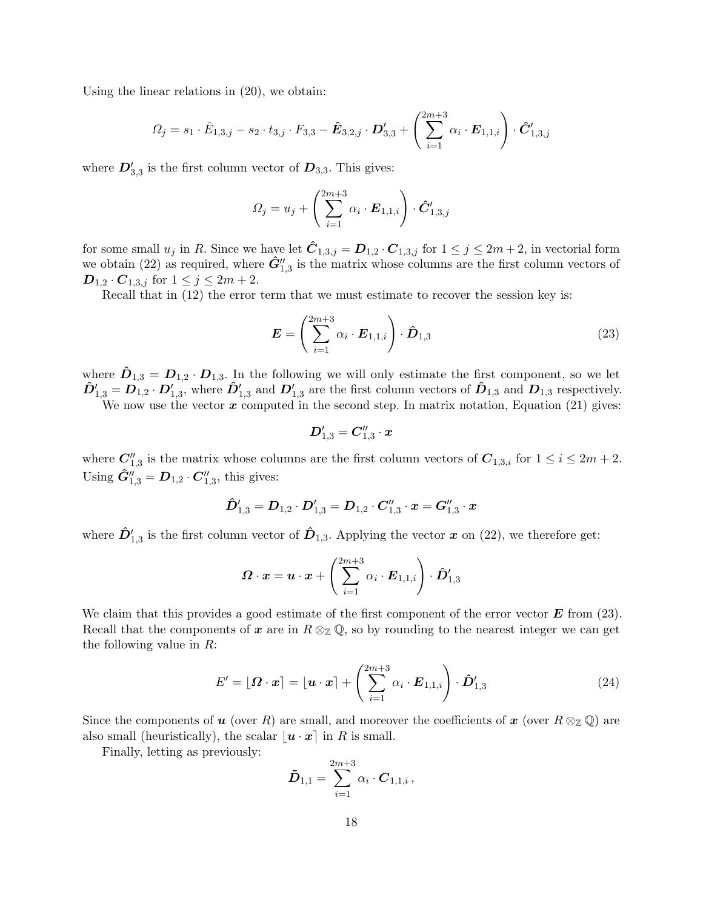Using the linear relations in (20), we obtain:

$$
\Omega_j = s_1 \cdot \hat{E}_{1,3,j} - s_2 \cdot t_{3,j} \cdot F_{3,3} - \hat{E}_{3,2,j} \cdot D'_{3,3} + \left(\sum_{i=1}^{2m+3} \alpha_i \cdot E_{1,1,i}\right) \cdot \hat{C}'_{1,3,j}
$$

where  $D'_{3,3}$  is the first column vector of  $D_{3,3}$ . This gives:

$$
\Omega_j = u_j + \left(\sum_{i=1}^{2m+3} \alpha_i \cdot \mathbf{E}_{1,1,i}\right) \cdot \hat{\mathbf{C}}'_{1,3,j}
$$

for some small  $u_j$  in R. Since we have let  $\hat{C}_{1,3,j} = D_{1,2} \cdot C_{1,3,j}$  for  $1 \leq j \leq 2m+2$ , in vectorial form we obtain (22) as required, where  $\hat{G}_{1,3}''$  is the matrix whose columns are the first column vectors of  $\mathbf{D}_{1,2} \cdot \mathbf{C}_{1,3,j}$  for  $1 \leq j \leq 2m+2$ .

Recall that in (12) the error term that we must estimate to recover the session key is:

$$
\boldsymbol{E} = \left(\sum_{i=1}^{2m+3} \alpha_i \cdot \boldsymbol{E}_{1,1,i}\right) \cdot \boldsymbol{\hat{D}}_{1,3} \tag{23}
$$

where  $\hat{\bm{D}}_{1,3} = \bm{D}_{1,2} \cdot \bm{D}_{1,3}$ . In the following we will only estimate the first component, so we let  $\hat{D}_{1,3}' = D_{1,2} \cdot D_{1,3}'$ , where  $\hat{D}_{1,3}'$  and  $D_{1,3}'$  are the first column vectors of  $\hat{D}_{1,3}$  and  $D_{1,3}$  respectively.

We now use the vector  $\boldsymbol{x}$  computed in the second step. In matrix notation, Equation (21) gives:

$$
\boldsymbol{D}_{1,3}^\prime=\boldsymbol{C}_{1,3}^{\prime\prime}\cdot \boldsymbol{x}
$$

where  $C_{1,3}''$  is the matrix whose columns are the first column vectors of  $C_{1,3,i}$  for  $1 \leq i \leq 2m+2$ . Using  $\hat{G}_{1,3}'' = D_{1,2} \cdot C_{1,3}''$ , this gives:

$$
\hat{\boldsymbol{D}}_{1,3}' = \boldsymbol{D}_{1,2} \cdot \boldsymbol{D}_{1,3}' = \boldsymbol{D}_{1,2} \cdot \boldsymbol{C}_{1,3}'' \cdot \boldsymbol{x} = \boldsymbol{G}_{1,3}'' \cdot \boldsymbol{x}
$$

where  $\hat{D}_{1,3}'$  is the first column vector of  $\hat{D}_{1,3}$ . Applying the vector x on (22), we therefore get:

$$
\boldsymbol{\varOmega}\cdot\boldsymbol{x}=\boldsymbol{u}\cdot\boldsymbol{x}+\left(\sum_{i=1}^{2m+3}\alpha_i\cdot\boldsymbol{E}_{1,1,i}\right)\cdot\boldsymbol{\hat{D}}'_{1,3}
$$

We claim that this provides a good estimate of the first component of the error vector  $\bf{E}$  from (23). Recall that the components of x are in  $R \otimes_{\mathbb{Z}} \mathbb{Q}$ , so by rounding to the nearest integer we can get the following value in R:

$$
E' = \lfloor \boldsymbol{\Omega} \cdot \boldsymbol{x} \rceil = \lfloor \boldsymbol{u} \cdot \boldsymbol{x} \rceil + \left( \sum_{i=1}^{2m+3} \alpha_i \cdot \boldsymbol{E}_{1,1,i} \right) \cdot \hat{\boldsymbol{D}}'_{1,3} \tag{24}
$$

Since the components of u (over R) are small, and moreover the coefficients of x (over  $R \otimes_{\mathbb{Z}} \mathbb{Q}$ ) are also small (heuristically), the scalar  $\mathbf{u} \cdot \mathbf{x}$  in R is small.

Finally, letting as previously:

$$
\tilde{\bm{D}}_{1,1} = \sum_{i=1}^{2m+3} \alpha_i \cdot \bm{C}_{1,1,i} \,,
$$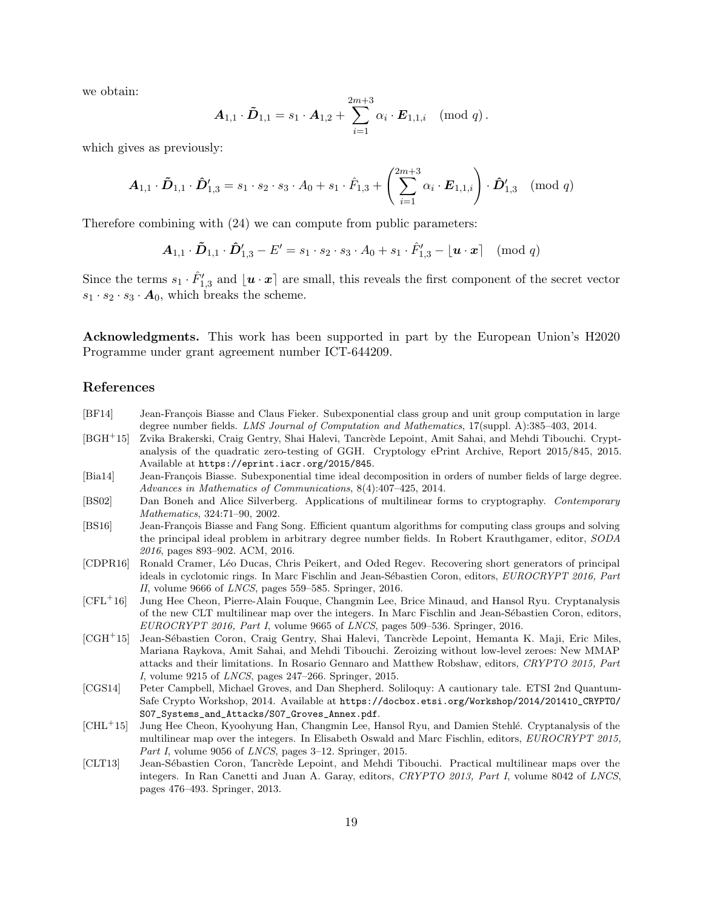we obtain:

$$
\boldsymbol{A}_{1,1} \cdot \boldsymbol{\tilde{D}}_{1,1} = s_1 \cdot \boldsymbol{A}_{1,2} + \sum_{i=1}^{2m+3} \alpha_i \cdot \boldsymbol{E}_{1,1,i} \pmod{q}.
$$

which gives as previously:

$$
\boldsymbol{A}_{1,1} \cdot \boldsymbol{\tilde{D}}_{1,1} \cdot \boldsymbol{\hat{D}}'_{1,3} = s_1 \cdot s_2 \cdot s_3 \cdot A_0 + s_1 \cdot \hat{F}_{1,3} + \left(\sum_{i=1}^{2m+3} \alpha_i \cdot \boldsymbol{E}_{1,1,i}\right) \cdot \boldsymbol{\hat{D}}'_{1,3} \pmod{q}
$$

Therefore combining with (24) we can compute from public parameters:

$$
\boldsymbol{A}_{1,1} \cdot \boldsymbol{\tilde{D}}_{1,1} \cdot \boldsymbol{\hat{D}}'_{1,3} - E' = s_1 \cdot s_2 \cdot s_3 \cdot A_0 + s_1 \cdot \hat{F}'_{1,3} - \lfloor \boldsymbol{u} \cdot \boldsymbol{x} \rceil \pmod{q}
$$

Since the terms  $s_1 \cdot \hat{F}'_{1,3}$  and  $\lfloor u \cdot x \rceil$  are small, this reveals the first component of the secret vector  $s_1 \cdot s_2 \cdot s_3 \cdot A_0$ , which breaks the scheme.

Acknowledgments. This work has been supported in part by the European Union's H2020 Programme under grant agreement number ICT-644209.

## References

- [BF14] Jean-François Biasse and Claus Fieker. Subexponential class group and unit group computation in large degree number fields. LMS Journal of Computation and Mathematics, 17(suppl. A):385–403, 2014.
- [BGH<sup>+</sup>15] Zvika Brakerski, Craig Gentry, Shai Halevi, Tancrède Lepoint, Amit Sahai, and Mehdi Tibouchi. Cryptanalysis of the quadratic zero-testing of GGH. Cryptology ePrint Archive, Report 2015/845, 2015. Available at https://eprint.iacr.org/2015/845.
- [Bia14] Jean-François Biasse. Subexponential time ideal decomposition in orders of number fields of large degree. Advances in Mathematics of Communications, 8(4):407–425, 2014.
- [BS02] Dan Boneh and Alice Silverberg. Applications of multilinear forms to cryptography. Contemporary Mathematics, 324:71–90, 2002.
- [BS16] Jean-François Biasse and Fang Song. Efficient quantum algorithms for computing class groups and solving the principal ideal problem in arbitrary degree number fields. In Robert Krauthgamer, editor, SODA 2016, pages 893–902. ACM, 2016.
- [CDPR16] Ronald Cramer, L´eo Ducas, Chris Peikert, and Oded Regev. Recovering short generators of principal ideals in cyclotomic rings. In Marc Fischlin and Jean-Sébastien Coron, editors, EUROCRYPT 2016, Part II, volume 9666 of LNCS, pages 559–585. Springer, 2016.
- [CFL<sup>+</sup>16] Jung Hee Cheon, Pierre-Alain Fouque, Changmin Lee, Brice Minaud, and Hansol Ryu. Cryptanalysis of the new CLT multilinear map over the integers. In Marc Fischlin and Jean-Sébastien Coron, editors,  $EUROCRYPT 2016$ , Part I, volume 9665 of LNCS, pages 509–536. Springer, 2016.
- [CGH<sup>+</sup>15] Jean-Sébastien Coron, Craig Gentry, Shai Halevi, Tancrède Lepoint, Hemanta K. Maji, Eric Miles, Mariana Raykova, Amit Sahai, and Mehdi Tibouchi. Zeroizing without low-level zeroes: New MMAP attacks and their limitations. In Rosario Gennaro and Matthew Robshaw, editors, CRYPTO 2015, Part I, volume 9215 of LNCS, pages 247–266. Springer, 2015.
- [CGS14] Peter Campbell, Michael Groves, and Dan Shepherd. Soliloquy: A cautionary tale. ETSI 2nd Quantum-Safe Crypto Workshop, 2014. Available at https://docbox.etsi.org/Workshop/2014/201410\_CRYPTO/ S07\_Systems\_and\_Attacks/S07\_Groves\_Annex.pdf.
- [CHL<sup>+</sup>15] Jung Hee Cheon, Kyoohyung Han, Changmin Lee, Hansol Ryu, and Damien Stehl´e. Cryptanalysis of the multilinear map over the integers. In Elisabeth Oswald and Marc Fischlin, editors, EUROCRYPT 2015, Part I, volume 9056 of LNCS, pages 3-12. Springer, 2015.
- [CLT13] Jean-Sébastien Coron, Tancrède Lepoint, and Mehdi Tibouchi. Practical multilinear maps over the integers. In Ran Canetti and Juan A. Garay, editors, CRYPTO 2013, Part I, volume 8042 of LNCS, pages 476–493. Springer, 2013.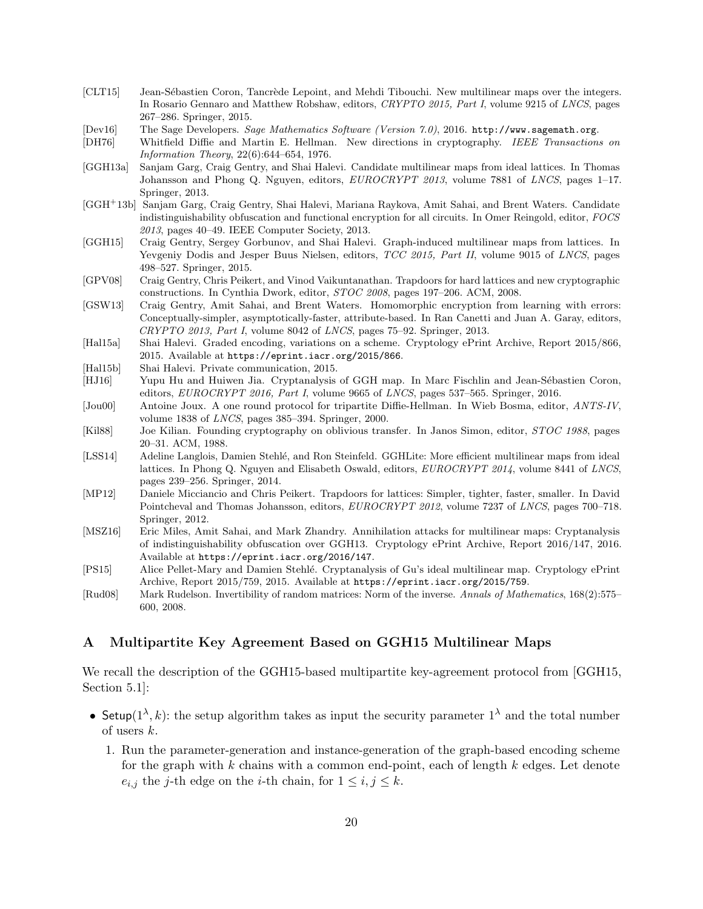- [CLT15] Jean-Sébastien Coron, Tancrède Lepoint, and Mehdi Tibouchi. New multilinear maps over the integers. In Rosario Gennaro and Matthew Robshaw, editors, CRYPTO 2015, Part I, volume 9215 of LNCS, pages 267–286. Springer, 2015.
- [Dev16] The Sage Developers. Sage Mathematics Software (Version 7.0), 2016. http://www.sagemath.org.
- [DH76] Whitfield Diffie and Martin E. Hellman. New directions in cryptography. IEEE Transactions on Information Theory, 22(6):644–654, 1976.
- [GGH13a] Sanjam Garg, Craig Gentry, and Shai Halevi. Candidate multilinear maps from ideal lattices. In Thomas Johansson and Phong Q. Nguyen, editors,  $EUROCRYPT 2013$ , volume 7881 of LNCS, pages 1-17. Springer, 2013.
- [GGH<sup>+</sup>13b] Sanjam Garg, Craig Gentry, Shai Halevi, Mariana Raykova, Amit Sahai, and Brent Waters. Candidate indistinguishability obfuscation and functional encryption for all circuits. In Omer Reingold, editor, FOCS 2013, pages 40–49. IEEE Computer Society, 2013.
- [GGH15] Craig Gentry, Sergey Gorbunov, and Shai Halevi. Graph-induced multilinear maps from lattices. In Yevgeniy Dodis and Jesper Buus Nielsen, editors, TCC 2015, Part II, volume 9015 of LNCS, pages 498–527. Springer, 2015.
- [GPV08] Craig Gentry, Chris Peikert, and Vinod Vaikuntanathan. Trapdoors for hard lattices and new cryptographic constructions. In Cynthia Dwork, editor, STOC 2008, pages 197–206. ACM, 2008.
- [GSW13] Craig Gentry, Amit Sahai, and Brent Waters. Homomorphic encryption from learning with errors: Conceptually-simpler, asymptotically-faster, attribute-based. In Ran Canetti and Juan A. Garay, editors, CRYPTO 2013, Part I, volume 8042 of LNCS, pages 75–92. Springer, 2013.
- [Hal15a] Shai Halevi. Graded encoding, variations on a scheme. Cryptology ePrint Archive, Report 2015/866, 2015. Available at https://eprint.iacr.org/2015/866.
- [Hal15b] Shai Halevi. Private communication, 2015.
- [HJ16] Yupu Hu and Huiwen Jia. Cryptanalysis of GGH map. In Marc Fischlin and Jean-Sébastien Coron, editors, EUROCRYPT 2016, Part I, volume 9665 of LNCS, pages 537–565. Springer, 2016.
- [Jou00] Antoine Joux. A one round protocol for tripartite Diffie-Hellman. In Wieb Bosma, editor, ANTS-IV, volume 1838 of LNCS, pages 385–394. Springer, 2000.
- [Kil88] Joe Kilian. Founding cryptography on oblivious transfer. In Janos Simon, editor, STOC 1988, pages 20–31. ACM, 1988.
- [LSS14] Adeline Langlois, Damien Stehlé, and Ron Steinfeld. GGHLite: More efficient multilinear maps from ideal lattices. In Phong Q. Nguyen and Elisabeth Oswald, editors, EUROCRYPT 2014, volume 8441 of LNCS, pages 239–256. Springer, 2014.
- [MP12] Daniele Micciancio and Chris Peikert. Trapdoors for lattices: Simpler, tighter, faster, smaller. In David Pointcheval and Thomas Johansson, editors, EUROCRYPT 2012, volume 7237 of LNCS, pages 700–718. Springer, 2012.
- [MSZ16] Eric Miles, Amit Sahai, and Mark Zhandry. Annihilation attacks for multilinear maps: Cryptanalysis of indistinguishability obfuscation over GGH13. Cryptology ePrint Archive, Report 2016/147, 2016. Available at https://eprint.iacr.org/2016/147.
- [PS15] Alice Pellet-Mary and Damien Stehl´e. Cryptanalysis of Gu's ideal multilinear map. Cryptology ePrint Archive, Report 2015/759, 2015. Available at https://eprint.iacr.org/2015/759.
- [Rud08] Mark Rudelson. Invertibility of random matrices: Norm of the inverse. Annals of Mathematics, 168(2):575– 600, 2008.

## A Multipartite Key Agreement Based on GGH15 Multilinear Maps

We recall the description of the GGH15-based multipartite key-agreement protocol from [GGH15, Section 5.1]:

- Setup( $1^{\lambda}, k$ ): the setup algorithm takes as input the security parameter  $1^{\lambda}$  and the total number of users k.
	- 1. Run the parameter-generation and instance-generation of the graph-based encoding scheme for the graph with k chains with a common end-point, each of length  $k$  edges. Let denote  $e_{i,j}$  the j-th edge on the *i*-th chain, for  $1 \leq i, j \leq k$ .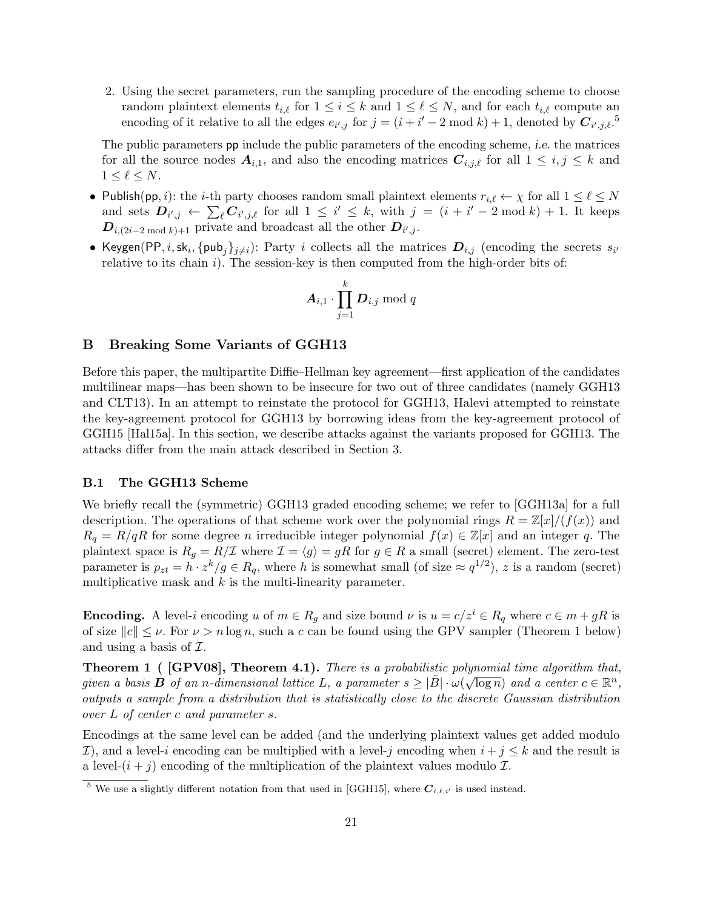2. Using the secret parameters, run the sampling procedure of the encoding scheme to choose random plaintext elements  $t_{i,\ell}$  for  $1 \leq i \leq k$  and  $1 \leq \ell \leq N$ , and for each  $t_{i,\ell}$  compute an encoding of it relative to all the edges  $e_{i',j}$  for  $j = (i + i' - 2 \mod k) + 1$ , denoted by  $C_{i',j,\ell}$ .<sup>5</sup>

The public parameters pp include the public parameters of the encoding scheme, i.e. the matrices for all the source nodes  $A_{i,1}$ , and also the encoding matrices  $C_{i,j,\ell}$  for all  $1 \leq i,j \leq k$  and  $1 \leq \ell \leq N$ .

- Publish(pp, i): the *i*-th party chooses random small plaintext elements  $r_{i,\ell} \leftarrow \chi$  for all  $1 \leq \ell \leq N$ and sets  $D_{i',j} \leftarrow \sum_{\ell} C_{i',j,\ell}$  for all  $1 \leq i' \leq k$ , with  $j = (i + i' - 2 \mod k) + 1$ . It keeps  $D_{i,(2i-2 \mod k)+1}$  private and broadcast all the other  $D_{i',j}$ .
- Keygen(PP, i, sk<sub>i</sub>, {pub<sub>j</sub>}<sub>j≠i</sub>): Party i collects all the matrices  $D_{i,j}$  (encoding the secrets  $s_{i'}$ relative to its chain  $i$ ). The session-key is then computed from the high-order bits of:

$$
\boldsymbol{A}_{i,1}\cdot \prod_{j=1}^{k}\boldsymbol{D}_{i,j}\bmod q
$$

#### B Breaking Some Variants of GGH13

Before this paper, the multipartite Diffie–Hellman key agreement—first application of the candidates multilinear maps—has been shown to be insecure for two out of three candidates (namely GGH13 and CLT13). In an attempt to reinstate the protocol for GGH13, Halevi attempted to reinstate the key-agreement protocol for GGH13 by borrowing ideas from the key-agreement protocol of GGH15 [Hal15a]. In this section, we describe attacks against the variants proposed for GGH13. The attacks differ from the main attack described in Section 3.

#### B.1 The GGH13 Scheme

We briefly recall the (symmetric) GGH13 graded encoding scheme; we refer to [GGH13a] for a full description. The operations of that scheme work over the polynomial rings  $R = \mathbb{Z}[x]/(f(x))$  and  $R_q = R/qR$  for some degree n irreducible integer polynomial  $f(x) \in \mathbb{Z}[x]$  and an integer q. The plaintext space is  $R_g = R/\mathcal{I}$  where  $\mathcal{I} = \langle g \rangle = gR$  for  $g \in R$  a small (secret) element. The zero-test parameter is  $p_{zt} = h \cdot z^k / g \in R_q$ , where h is somewhat small (of size  $\approx q^{1/2}$ ), z is a random (secret) multiplicative mask and  $k$  is the multi-linearity parameter.

**Encoding.** A level-i encoding u of  $m \in R_q$  and size bound  $\nu$  is  $u = c/z^i \in R_q$  where  $c \in m + gR$  is of size  $||c|| \leq \nu$ . For  $\nu > n \log n$ , such a c can be found using the GPV sampler (Theorem 1 below) and using a basis of  $\mathcal{I}$ .

**Theorem 1** ( [GPV08], Theorem 4.1). There is a probabilistic polynomial time algorithm that, given a basis **B** of an n-dimensional lattice L, a parameter  $s \geq |\tilde{B}| \cdot \omega(\sqrt{\log n})$  and a center  $c \in \mathbb{R}^n$ , outputs a sample from a distribution that is statistically close to the discrete Gaussian distribution over L of center c and parameter s.

Encodings at the same level can be added (and the underlying plaintext values get added modulo I), and a level-i encoding can be multiplied with a level-j encoding when  $i + j \leq k$  and the result is a level- $(i + j)$  encoding of the multiplication of the plaintext values modulo  $\mathcal{I}$ .

<sup>&</sup>lt;sup>5</sup> We use a slightly different notation from that used in [GGH15], where  $C_{i,\ell,i'}$  is used instead.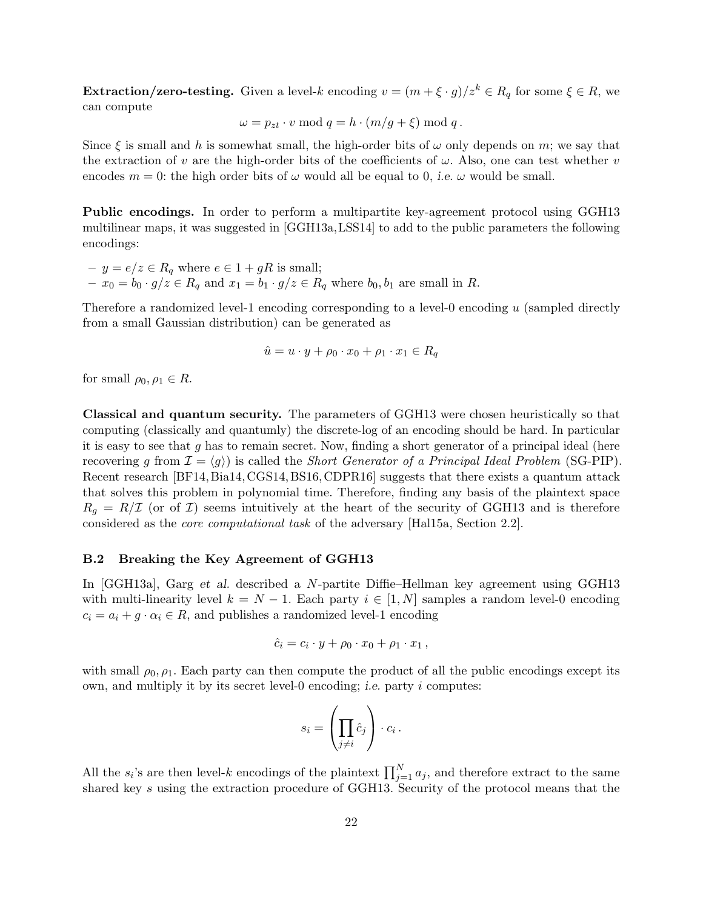**Extraction/zero-testing.** Given a level-k encoding  $v = (m + \xi \cdot g)/z^k \in R_q$  for some  $\xi \in R$ , we can compute

$$
\omega = p_{zt} \cdot v \mod q = h \cdot (m/g + \xi) \mod q.
$$

Since  $\xi$  is small and h is somewhat small, the high-order bits of  $\omega$  only depends on m; we say that the extraction of v are the high-order bits of the coefficients of  $\omega$ . Also, one can test whether v encodes  $m = 0$ : the high order bits of  $\omega$  would all be equal to 0, *i.e.*  $\omega$  would be small.

Public encodings. In order to perform a multipartite key-agreement protocol using GGH13 multilinear maps, it was suggested in [GGH13a,LSS14] to add to the public parameters the following encodings:

–  $y = e/z \in R_q$  where  $e \in 1 + gR$  is small;  $- x_0 = b_0 \cdot g/z \in R_q$  and  $x_1 = b_1 \cdot g/z \in R_q$  where  $b_0, b_1$  are small in R.

Therefore a randomized level-1 encoding corresponding to a level-0 encoding  $u$  (sampled directly from a small Gaussian distribution) can be generated as

$$
\hat{u} = u \cdot y + \rho_0 \cdot x_0 + \rho_1 \cdot x_1 \in R_q
$$

for small  $\rho_0, \rho_1 \in R$ .

Classical and quantum security. The parameters of GGH13 were chosen heuristically so that computing (classically and quantumly) the discrete-log of an encoding should be hard. In particular it is easy to see that g has to remain secret. Now, finding a short generator of a principal ideal (here recovering g from  $\mathcal{I} = \langle q \rangle$  is called the *Short Generator of a Principal Ideal Problem* (SG-PIP). Recent research [BF14, Bia14, CGS14, BS16, CDPR16] suggests that there exists a quantum attack that solves this problem in polynomial time. Therefore, finding any basis of the plaintext space  $R_g = R/\mathcal{I}$  (or of  $\mathcal{I}$ ) seems intuitively at the heart of the security of GGH13 and is therefore considered as the core computational task of the adversary [Hal15a, Section 2.2].

#### B.2 Breaking the Key Agreement of GGH13

In [GGH13a], Garg et al. described a N-partite Diffie–Hellman key agreement using GGH13 with multi-linearity level  $k = N - 1$ . Each party  $i \in [1, N]$  samples a random level-0 encoding  $c_i = a_i + g \cdot \alpha_i \in R$ , and publishes a randomized level-1 encoding

$$
\hat{c}_i = c_i \cdot y + \rho_0 \cdot x_0 + \rho_1 \cdot x_1,
$$

with small  $\rho_0$ ,  $\rho_1$ . Each party can then compute the product of all the public encodings except its own, and multiply it by its secret level-0 encoding; i.e. party i computes:

$$
s_i = \left(\prod_{j\neq i} \hat{c}_j\right) \cdot c_i \,.
$$

All the  $s_i$ 's are then level-k encodings of the plaintext  $\prod_{j=1}^N a_j$ , and therefore extract to the same shared key s using the extraction procedure of GGH13. Security of the protocol means that the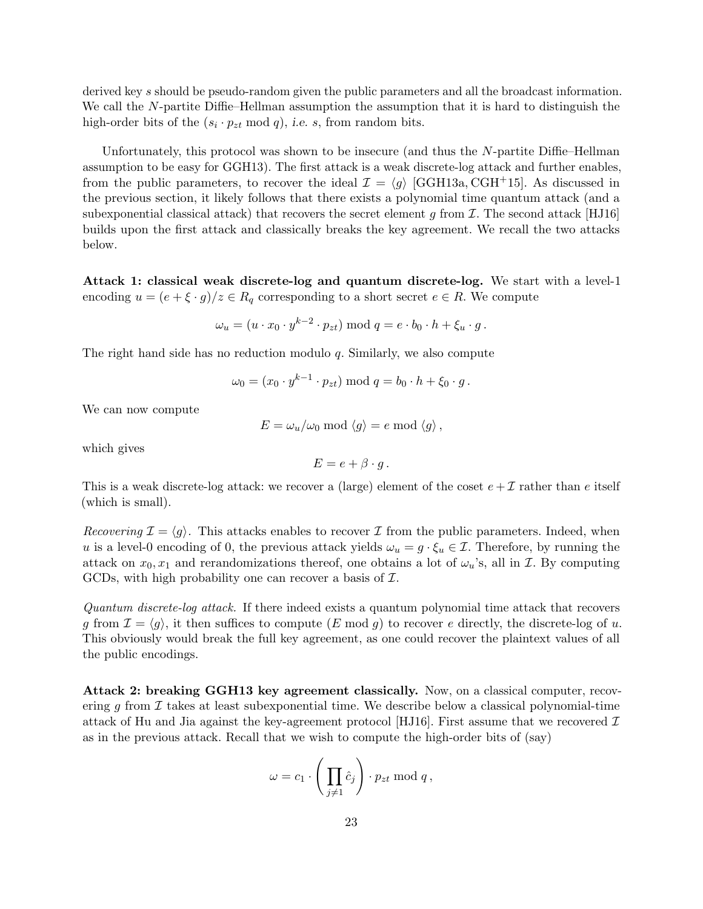derived key s should be pseudo-random given the public parameters and all the broadcast information. We call the N-partite Diffie–Hellman assumption the assumption that it is hard to distinguish the high-order bits of the  $(s_i \cdot p_{zt} \mod q)$ , *i.e.* s, from random bits.

Unfortunately, this protocol was shown to be insecure (and thus the N-partite Diffie–Hellman assumption to be easy for GGH13). The first attack is a weak discrete-log attack and further enables, from the public parameters, to recover the ideal  $\mathcal{I} = \langle g \rangle$  [GGH13a, CGH+15]. As discussed in the previous section, it likely follows that there exists a polynomial time quantum attack (and a subexponential classical attack) that recovers the secret element g from  $\mathcal I$ . The second attack [HJ16] builds upon the first attack and classically breaks the key agreement. We recall the two attacks below.

Attack 1: classical weak discrete-log and quantum discrete-log. We start with a level-1 encoding  $u = (e + \xi \cdot g)/z \in R_q$  corresponding to a short secret  $e \in R$ . We compute

$$
\omega_u = (u \cdot x_0 \cdot y^{k-2} \cdot p_{zt}) \bmod q = e \cdot b_0 \cdot h + \xi_u \cdot g.
$$

The right hand side has no reduction modulo q. Similarly, we also compute

$$
\omega_0 = (x_0 \cdot y^{k-1} \cdot p_{zt}) \bmod q = b_0 \cdot h + \xi_0 \cdot g.
$$

We can now compute

$$
E = \omega_u/\omega_0 \mod \langle g \rangle = e \mod \langle g \rangle,
$$

which gives

$$
E = e + \beta \cdot g.
$$

This is a weak discrete-log attack: we recover a (large) element of the coset  $e + \mathcal{I}$  rather than e itself (which is small).

Recovering  $\mathcal{I} = \langle q \rangle$ . This attacks enables to recover  $\mathcal{I}$  from the public parameters. Indeed, when u is a level-0 encoding of 0, the previous attack yields  $\omega_u = g \cdot \xi_u \in \mathcal{I}$ . Therefore, by running the attack on  $x_0, x_1$  and rerandomizations thereof, one obtains a lot of  $\omega_u$ 's, all in *I*. By computing GCDs, with high probability one can recover a basis of  $\mathcal{I}$ .

Quantum discrete-log attack. If there indeed exists a quantum polynomial time attack that recovers g from  $\mathcal{I} = \langle g \rangle$ , it then suffices to compute  $(E \mod g)$  to recover e directly, the discrete-log of u. This obviously would break the full key agreement, as one could recover the plaintext values of all the public encodings.

Attack 2: breaking GGH13 key agreement classically. Now, on a classical computer, recovering g from  $\mathcal I$  takes at least subexponential time. We describe below a classical polynomial-time attack of Hu and Jia against the key-agreement protocol [HJ16]. First assume that we recovered  $\mathcal I$ as in the previous attack. Recall that we wish to compute the high-order bits of (say)

$$
\omega = c_1 \cdot \left( \prod_{j \neq 1} \hat{c}_j \right) \cdot p_{zt} \bmod q,
$$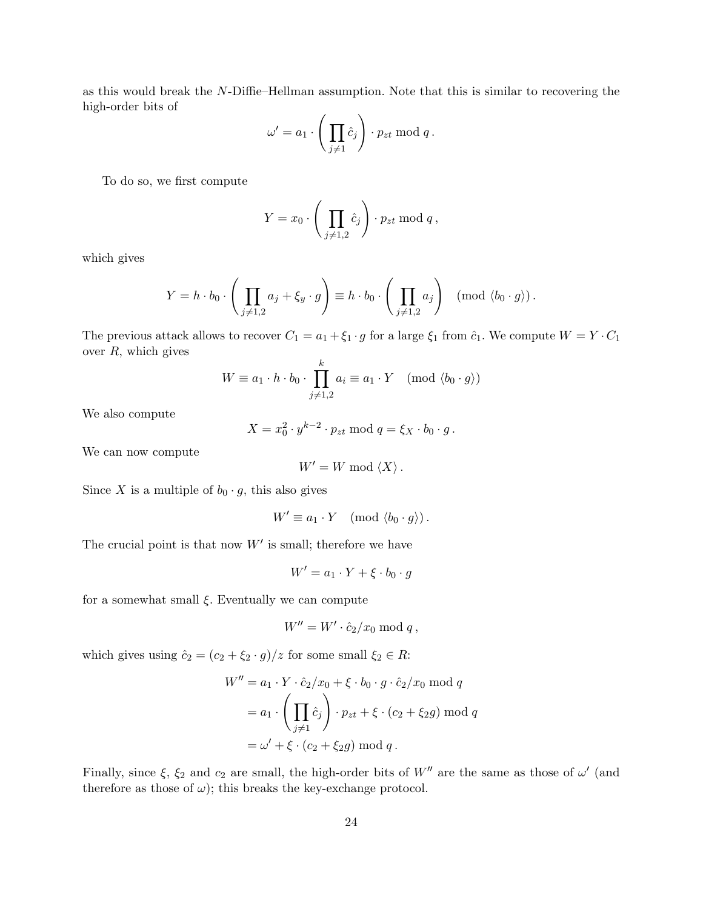as this would break the N-Diffie–Hellman assumption. Note that this is similar to recovering the high-order bits of

$$
\omega' = a_1 \cdot \left( \prod_{j \neq 1} \hat{c}_j \right) \cdot p_{zt} \bmod q.
$$

To do so, we first compute

$$
Y = x_0 \cdot \left(\prod_{j \neq 1,2} \hat{c}_j\right) \cdot p_{zt} \bmod q,
$$

which gives

$$
Y = h \cdot b_0 \cdot \left( \prod_{j \neq 1,2} a_j + \xi_y \cdot g \right) \equiv h \cdot b_0 \cdot \left( \prod_{j \neq 1,2} a_j \right) \pmod{\langle b_0 \cdot g \rangle}.
$$

The previous attack allows to recover  $C_1 = a_1 + \xi_1 \cdot g$  for a large  $\xi_1$  from  $\hat{c}_1$ . We compute  $W = Y \cdot C_1$ over  $R$ , which gives

$$
W \equiv a_1 \cdot h \cdot b_0 \cdot \prod_{j \neq 1,2}^{k} a_i \equiv a_1 \cdot Y \pmod{\langle b_0 \cdot g \rangle}
$$

We also compute

$$
X = x_0^2 \cdot y^{k-2} \cdot p_{zt} \bmod q = \xi_X \cdot b_0 \cdot g.
$$

We can now compute

$$
W' = W \bmod \langle X \rangle.
$$

Since X is a multiple of  $b_0 \cdot g$ , this also gives

$$
W' \equiv a_1 \cdot Y \pmod{\langle b_0 \cdot g \rangle}.
$$

The crucial point is that now  $W'$  is small; therefore we have

$$
W' = a_1 \cdot Y + \xi \cdot b_0 \cdot g
$$

for a somewhat small  $\xi$ . Eventually we can compute

$$
W'' = W' \cdot \hat{c}_2/x_0 \bmod q,
$$

which gives using  $\hat{c}_2 = (c_2 + \xi_2 \cdot g)/z$  for some small  $\xi_2 \in R$ :

$$
W'' = a_1 \cdot Y \cdot \hat{c}_2/x_0 + \xi \cdot b_0 \cdot g \cdot \hat{c}_2/x_0 \mod q
$$
  
=  $a_1 \cdot \left( \prod_{j \neq 1} \hat{c}_j \right) \cdot p_{zt} + \xi \cdot (c_2 + \xi_2 g) \mod q$   
=  $\omega' + \xi \cdot (c_2 + \xi_2 g) \mod q$ .

Finally, since  $\xi$ ,  $\xi_2$  and  $c_2$  are small, the high-order bits of W'' are the same as those of  $\omega'$  (and therefore as those of  $\omega$ ); this breaks the key-exchange protocol.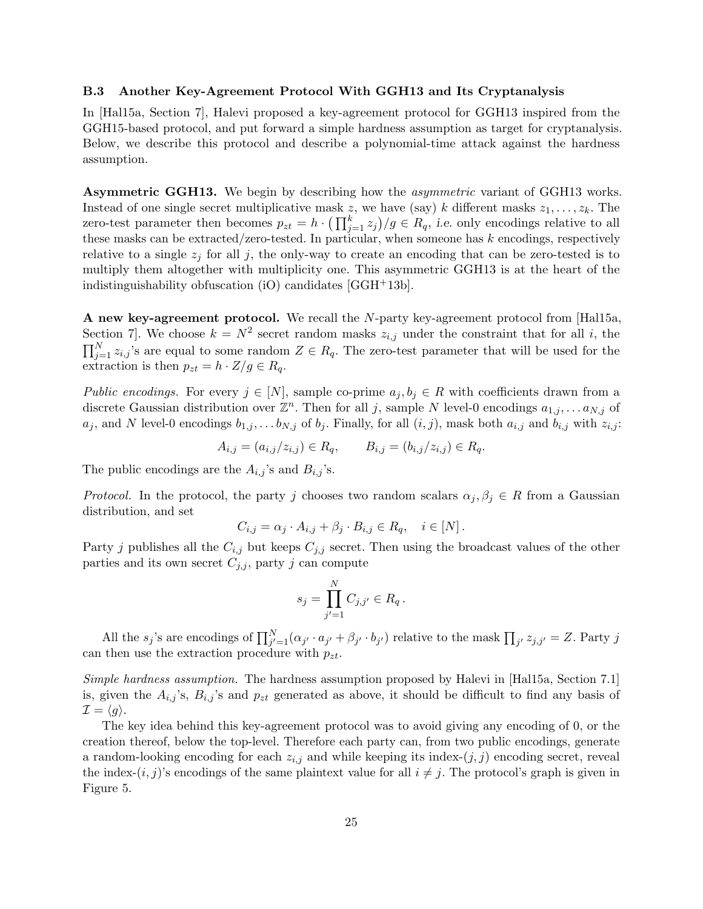#### B.3 Another Key-Agreement Protocol With GGH13 and Its Cryptanalysis

In [Hal15a, Section 7], Halevi proposed a key-agreement protocol for GGH13 inspired from the GGH15-based protocol, and put forward a simple hardness assumption as target for cryptanalysis. Below, we describe this protocol and describe a polynomial-time attack against the hardness assumption.

Asymmetric GGH13. We begin by describing how the asymmetric variant of GGH13 works. Instead of one single secret multiplicative mask z, we have (say) k different masks  $z_1, \ldots, z_k$ . The zero-test parameter then becomes  $p_{zt} = h \cdot (\prod_{j=1}^{k} z_j)/g \in R_q$ , i.e. only encodings relative to all these masks can be extracted/zero-tested. In particular, when someone has  $k$  encodings, respectively relative to a single  $z_i$  for all j, the only-way to create an encoding that can be zero-tested is to multiply them altogether with multiplicity one. This asymmetric GGH13 is at the heart of the indistinguishability obfuscation (iO) candidates [GGH+13b].

A new key-agreement protocol. We recall the N-party key-agreement protocol from [Hal15a, Section 7. We choose  $k = N^2$  secret random masks  $z_{i,j}$  under the constraint that for all i, the  $\prod_{j=1}^{N} z_{i,j}$ 's are equal to some random  $Z \in R_q$ . The zero-test parameter that will be used for the extraction is then  $p_{zt} = h \cdot Z/g \in R_q$ .

Public encodings. For every  $j \in [N]$ , sample co-prime  $a_j, b_j \in R$  with coefficients drawn from a discrete Gaussian distribution over  $\mathbb{Z}^n$ . Then for all j, sample N level-0 encodings  $a_{1,j}, \ldots a_{N,j}$  of  $a_j$ , and N level-0 encodings  $b_{1,j}, \ldots b_{N,j}$  of  $b_j$ . Finally, for all  $(i, j)$ , mask both  $a_{i,j}$  and  $b_{i,j}$  with  $z_{i,j}$ :

$$
A_{i,j} = (a_{i,j}/z_{i,j}) \in R_q, \qquad B_{i,j} = (b_{i,j}/z_{i,j}) \in R_q.
$$

The public encodings are the  $A_{i,j}$ 's and  $B_{i,j}$ 's.

*Protocol.* In the protocol, the party j chooses two random scalars  $\alpha_j, \beta_j \in R$  from a Gaussian distribution, and set

$$
C_{i,j} = \alpha_j \cdot A_{i,j} + \beta_j \cdot B_{i,j} \in R_q, \quad i \in [N].
$$

Party j publishes all the  $C_{i,j}$  but keeps  $C_{j,j}$  secret. Then using the broadcast values of the other parties and its own secret  $C_{j,j}$ , party j can compute

$$
s_j = \prod_{j'=1}^N C_{j,j'} \in R_q.
$$

All the  $s_j$ 's are encodings of  $\prod_{j'=1}^N (\alpha_{j'} \cdot a_{j'} + \beta_{j'} \cdot b_{j'})$  relative to the mask  $\prod_{j'} z_{j,j'} = Z$ . Party j can then use the extraction procedure with  $p_{zt}$ .

Simple hardness assumption. The hardness assumption proposed by Halevi in [Hal15a, Section 7.1] is, given the  $A_{i,j}$ 's,  $B_{i,j}$ 's and  $p_{zt}$  generated as above, it should be difficult to find any basis of  $\mathcal{I} = \langle g \rangle.$ 

The key idea behind this key-agreement protocol was to avoid giving any encoding of 0, or the creation thereof, below the top-level. Therefore each party can, from two public encodings, generate a random-looking encoding for each  $z_{i,j}$  and while keeping its index- $(j, j)$  encoding secret, reveal the index- $(i, j)$ 's encodings of the same plaintext value for all  $i \neq j$ . The protocol's graph is given in Figure 5.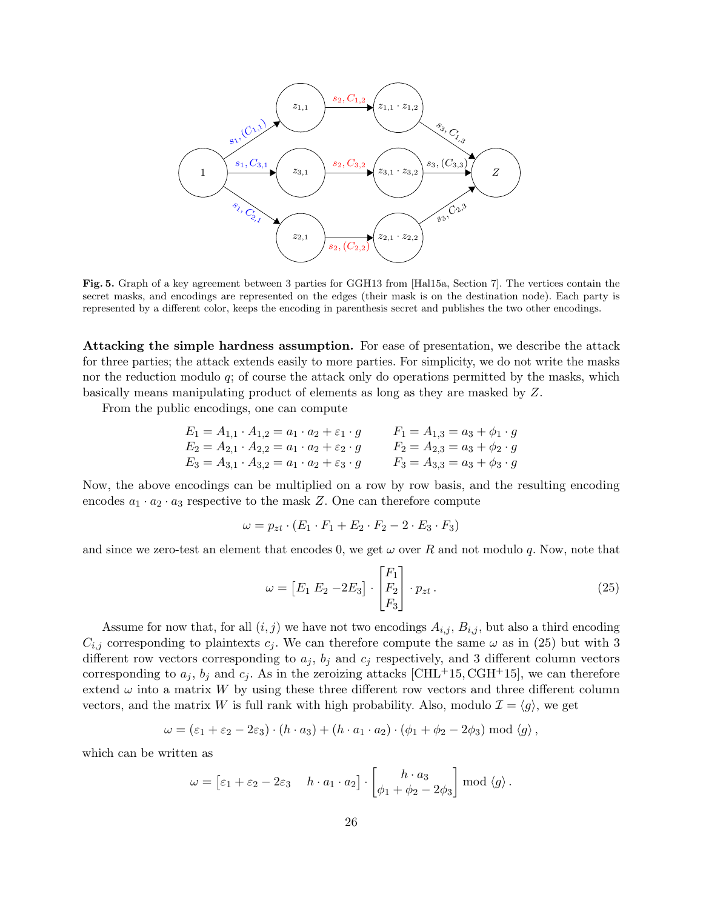

Fig. 5. Graph of a key agreement between 3 parties for GGH13 from [Hal15a, Section 7]. The vertices contain the secret masks, and encodings are represented on the edges (their mask is on the destination node). Each party is represented by a different color, keeps the encoding in parenthesis secret and publishes the two other encodings.

Attacking the simple hardness assumption. For ease of presentation, we describe the attack for three parties; the attack extends easily to more parties. For simplicity, we do not write the masks nor the reduction modulo  $q$ ; of course the attack only do operations permitted by the masks, which basically means manipulating product of elements as long as they are masked by Z.

From the public encodings, one can compute

$$
E_1 = A_{1,1} \cdot A_{1,2} = a_1 \cdot a_2 + \varepsilon_1 \cdot g \qquad F_1 = A_{1,3} = a_3 + \phi_1 \cdot g
$$
  
\n
$$
E_2 = A_{2,1} \cdot A_{2,2} = a_1 \cdot a_2 + \varepsilon_2 \cdot g \qquad F_2 = A_{2,3} = a_3 + \phi_2 \cdot g
$$
  
\n
$$
E_3 = A_{3,1} \cdot A_{3,2} = a_1 \cdot a_2 + \varepsilon_3 \cdot g \qquad F_3 = A_{3,3} = a_3 + \phi_3 \cdot g
$$

Now, the above encodings can be multiplied on a row by row basis, and the resulting encoding encodes  $a_1 \cdot a_2 \cdot a_3$  respective to the mask Z. One can therefore compute

$$
\omega = p_{zt} \cdot (E_1 \cdot F_1 + E_2 \cdot F_2 - 2 \cdot E_3 \cdot F_3)
$$

and since we zero-test an element that encodes 0, we get  $\omega$  over R and not modulo q. Now, note that

$$
\omega = \begin{bmatrix} E_1 & E_2 & -2E_3 \end{bmatrix} \cdot \begin{bmatrix} F_1 \\ F_2 \\ F_3 \end{bmatrix} \cdot p_{zt} \,. \tag{25}
$$

Assume for now that, for all  $(i, j)$  we have not two encodings  $A_{i,j}$ ,  $B_{i,j}$ , but also a third encoding  $C_{i,j}$  corresponding to plaintexts  $c_j$ . We can therefore compute the same  $\omega$  as in (25) but with 3 different row vectors corresponding to  $a_j$ ,  $b_j$  and  $c_j$  respectively, and 3 different column vectors corresponding to  $a_j$ ,  $b_j$  and  $c_j$ . As in the zeroizing attacks [CHL+15, CGH+15], we can therefore extend  $\omega$  into a matrix W by using these three different row vectors and three different column vectors, and the matrix W is full rank with high probability. Also, modulo  $\mathcal{I} = \langle g \rangle$ , we get

$$
\omega = (\varepsilon_1 + \varepsilon_2 - 2\varepsilon_3) \cdot (h \cdot a_3) + (h \cdot a_1 \cdot a_2) \cdot (\phi_1 + \phi_2 - 2\phi_3) \bmod \langle g \rangle,
$$

which can be written as

$$
\omega = \begin{bmatrix} \varepsilon_1 + \varepsilon_2 - 2\varepsilon_3 & h \cdot a_1 \cdot a_2 \end{bmatrix} \cdot \begin{bmatrix} h \cdot a_3 \\ \phi_1 + \phi_2 - 2\phi_3 \end{bmatrix} \bmod \langle g \rangle.
$$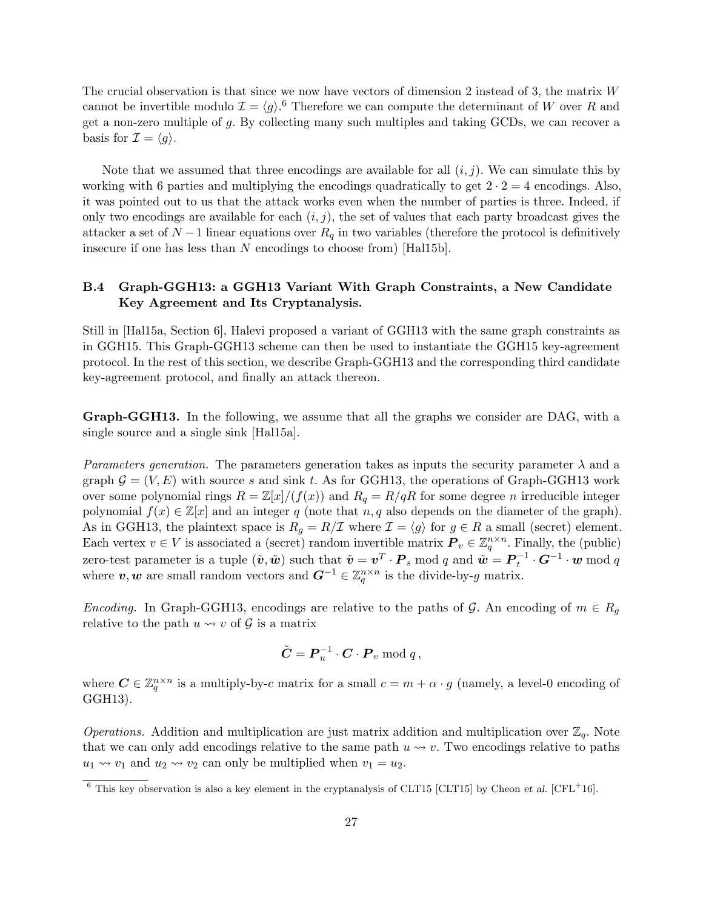The crucial observation is that since we now have vectors of dimension 2 instead of 3, the matrix W cannot be invertible modulo  $\mathcal{I} = \langle g \rangle$ .<sup>6</sup> Therefore we can compute the determinant of W over R and get a non-zero multiple of g. By collecting many such multiples and taking GCDs, we can recover a basis for  $\mathcal{I} = \langle g \rangle$ .

Note that we assumed that three encodings are available for all  $(i, j)$ . We can simulate this by working with 6 parties and multiplying the encodings quadratically to get  $2 \cdot 2 = 4$  encodings. Also, it was pointed out to us that the attack works even when the number of parties is three. Indeed, if only two encodings are available for each  $(i, j)$ , the set of values that each party broadcast gives the attacker a set of  $N-1$  linear equations over  $R_q$  in two variables (therefore the protocol is definitively insecure if one has less than N encodings to choose from) [Hal15b].

## B.4 Graph-GGH13: a GGH13 Variant With Graph Constraints, a New Candidate Key Agreement and Its Cryptanalysis.

Still in [Hal15a, Section 6], Halevi proposed a variant of GGH13 with the same graph constraints as in GGH15. This Graph-GGH13 scheme can then be used to instantiate the GGH15 key-agreement protocol. In the rest of this section, we describe Graph-GGH13 and the corresponding third candidate key-agreement protocol, and finally an attack thereon.

Graph-GGH13. In the following, we assume that all the graphs we consider are DAG, with a single source and a single sink [Hal15a].

Parameters generation. The parameters generation takes as inputs the security parameter  $\lambda$  and a graph  $\mathcal{G} = (V, E)$  with source s and sink t. As for GGH13, the operations of Graph-GGH13 work over some polynomial rings  $R = \mathbb{Z}[x]/(f(x))$  and  $R_q = R/qR$  for some degree n irreducible integer polynomial  $f(x) \in \mathbb{Z}[x]$  and an integer q (note that n, q also depends on the diameter of the graph). As in GGH13, the plaintext space is  $R_g = R/\mathcal{I}$  where  $\mathcal{I} = \langle g \rangle$  for  $g \in R$  a small (secret) element. Each vertex  $v \in V$  is associated a (secret) random invertible matrix  $P_v \in \mathbb{Z}_q^{n \times n}$ . Finally, the (public) zero-test parameter is a tuple  $(\tilde{\bm{v}}, \tilde{\bm{w}})$  such that  $\tilde{\bm{v}} = \bm{v}^T \cdot \bm{P}_s \bmod q$  and  $\tilde{\bm{w}} = \bm{P}_t^{-1} \cdot \bm{G}^{-1} \cdot \bm{w} \bmod q$ where  $v, w$  are small random vectors and  $G^{-1} \in \mathbb{Z}_q^{n \times n}$  is the divide-by-g matrix.

Encoding. In Graph-GGH13, encodings are relative to the paths of G. An encoding of  $m \in R_q$ relative to the path  $u \leadsto v$  of  $\mathcal G$  is a matrix

$$
\tilde{\boldsymbol{C}} = \boldsymbol{P}_u^{-1} \cdot \boldsymbol{C} \cdot \boldsymbol{P}_v \bmod q,
$$

where  $\mathbf{C} \in \mathbb{Z}_q^{n \times n}$  is a multiply-by-c matrix for a small  $c = m + \alpha \cdot g$  (namely, a level-0 encoding of GGH13).

Operations. Addition and multiplication are just matrix addition and multiplication over  $\mathbb{Z}_q$ . Note that we can only add encodings relative to the same path  $u \leadsto v$ . Two encodings relative to paths  $u_1 \rightarrow v_1$  and  $u_2 \rightarrow v_2$  can only be multiplied when  $v_1 = u_2$ .

<sup>&</sup>lt;sup>6</sup> This key observation is also a key element in the cryptanalysis of CLT15 [CLT15] by Cheon *et al.* [CFL<sup>+16].</sup>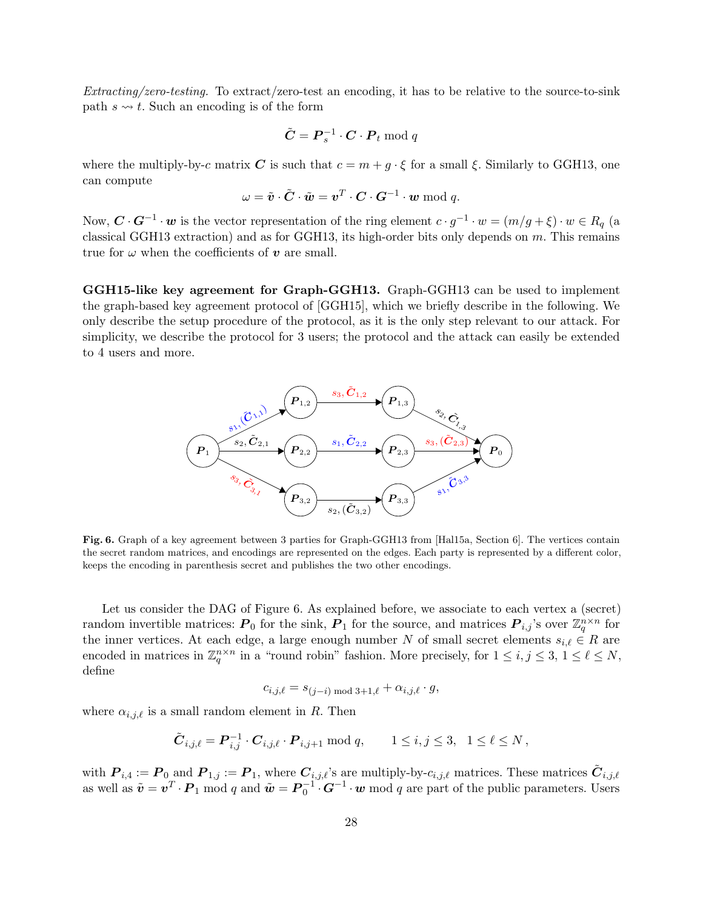Extracting/zero-testing. To extract/zero-test an encoding, it has to be relative to the source-to-sink path  $s \leftrightarrow t$ . Such an encoding is of the form

$$
\tilde{C} = \boldsymbol{P}_s^{-1} \cdot \boldsymbol{C} \cdot \boldsymbol{P}_t \bmod q
$$

where the multiply-by-c matrix C is such that  $c = m + g \cdot \xi$  for a small  $\xi$ . Similarly to GGH13, one can compute

$$
\omega = \tilde{\boldsymbol{v}} \cdot \tilde{\boldsymbol{C}} \cdot \tilde{\boldsymbol{w}} = \boldsymbol{v}^T \cdot \boldsymbol{C} \cdot \boldsymbol{G}^{-1} \cdot \boldsymbol{w} \bmod q.
$$

Now,  $\mathbf{C} \cdot \mathbf{G}^{-1} \cdot \mathbf{w}$  is the vector representation of the ring element  $c \cdot g^{-1} \cdot w = (m/g + \xi) \cdot w \in R_q$  (a classical GGH13 extraction) and as for GGH13, its high-order bits only depends on  $m$ . This remains true for  $\omega$  when the coefficients of  $\boldsymbol{v}$  are small.

GGH15-like key agreement for Graph-GGH13. Graph-GGH13 can be used to implement the graph-based key agreement protocol of [GGH15], which we briefly describe in the following. We only describe the setup procedure of the protocol, as it is the only step relevant to our attack. For simplicity, we describe the protocol for 3 users; the protocol and the attack can easily be extended to 4 users and more.



Fig. 6. Graph of a key agreement between 3 parties for Graph-GGH13 from [Hal15a, Section 6]. The vertices contain the secret random matrices, and encodings are represented on the edges. Each party is represented by a different color, keeps the encoding in parenthesis secret and publishes the two other encodings.

Let us consider the DAG of Figure 6. As explained before, we associate to each vertex a (secret) random invertible matrices:  $P_0$  for the sink,  $P_1$  for the source, and matrices  $P_{i,j}$ 's over  $\mathbb{Z}_q^{n \times n}$  for the inner vertices. At each edge, a large enough number N of small secret elements  $s_{i,\ell} \in R$  are encoded in matrices in  $\mathbb{Z}_q^{n \times n}$  in a "round robin" fashion. More precisely, for  $1 \leq i, j \leq 3, 1 \leq \ell \leq N$ , define

$$
c_{i,j,\ell} = s_{(j-i) \bmod 3 + 1, \ell} + \alpha_{i,j,\ell} \cdot g,
$$

where  $\alpha_{i,j,\ell}$  is a small random element in R. Then

$$
\tilde{\bm{C}}_{i,j,\ell} = \bm{P}_{i,j}^{-1} \cdot \bm{C}_{i,j,\ell} \cdot \bm{P}_{i,j+1} \bmod q, \qquad 1 \le i,j \le 3, \ \ 1 \le \ell \le N,
$$

with  $P_{i,4} := P_0$  and  $P_{1,j} := P_1$ , where  $C_{i,j,\ell}$ 's are multiply-by- $c_{i,j,\ell}$  matrices. These matrices  $\tilde{C}_{i,j,\ell}$ as well as  $\tilde{\bm{v}} = \bm{v}^T \cdot \bm{P}_1 \mod q$  and  $\tilde{\bm{w}} = \bm{P}_0^{-1} \cdot \bm{G}^{-1} \cdot \bm{w} \mod q$  are part of the public parameters. Users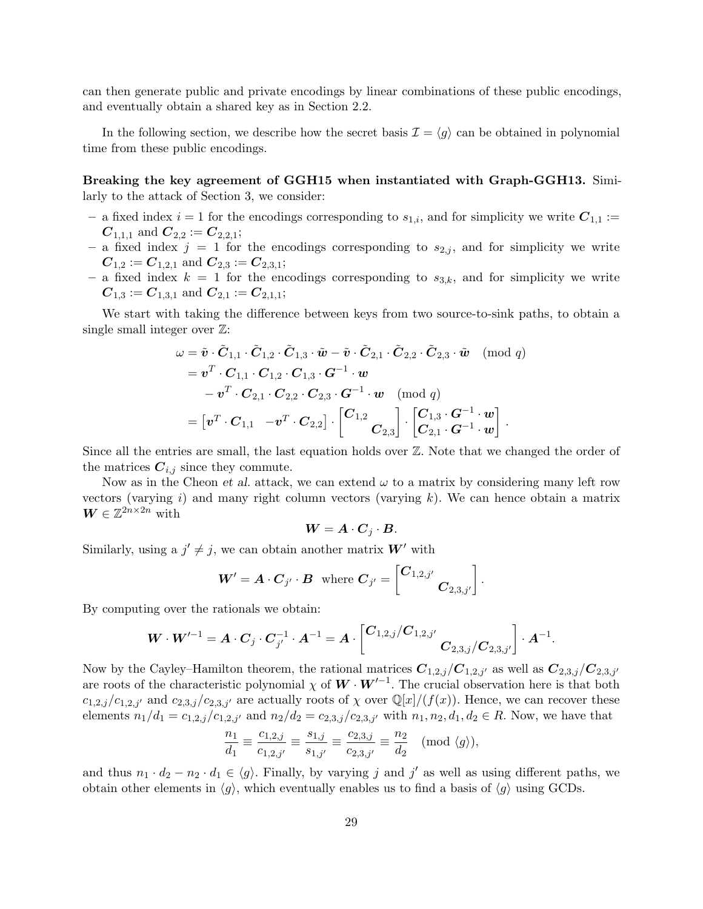can then generate public and private encodings by linear combinations of these public encodings, and eventually obtain a shared key as in Section 2.2.

In the following section, we describe how the secret basis  $\mathcal{I} = \langle g \rangle$  can be obtained in polynomial time from these public encodings.

Breaking the key agreement of GGH15 when instantiated with Graph-GGH13. Similarly to the attack of Section 3, we consider:

- a fixed index  $i = 1$  for the encodings corresponding to  $s_{1,i}$ , and for simplicity we write  $C_{1,1} :=$  $C_{1,1,1}$  and  $C_{2,2} := C_{2,2,1}$ ;
- a fixed index  $j = 1$  for the encodings corresponding to  $s_{2,j}$ , and for simplicity we write  $C_{1,2} := C_{1,2,1}$  and  $C_{2,3} := C_{2,3,1}$ ;
- a fixed index  $k = 1$  for the encodings corresponding to  $s_{3,k}$ , and for simplicity we write  $C_{1,3} := C_{1,3,1}$  and  $C_{2,1} := C_{2,1,1}$ ;

We start with taking the difference between keys from two source-to-sink paths, to obtain a single small integer over Z:

$$
\omega = \tilde{\bm{v}} \cdot \tilde{\bm{C}}_{1,1} \cdot \tilde{\bm{C}}_{1,2} \cdot \tilde{\bm{C}}_{1,3} \cdot \tilde{\bm{w}} - \tilde{\bm{v}} \cdot \tilde{\bm{C}}_{2,1} \cdot \tilde{\bm{C}}_{2,2} \cdot \tilde{\bm{C}}_{2,3} \cdot \tilde{\bm{w}} \pmod{q}
$$
  
\n
$$
= \bm{v}^T \cdot \bm{C}_{1,1} \cdot \bm{C}_{1,2} \cdot \bm{C}_{1,3} \cdot \bm{G}^{-1} \cdot \bm{w}
$$
  
\n
$$
- \bm{v}^T \cdot \bm{C}_{2,1} \cdot \bm{C}_{2,2} \cdot \bm{C}_{2,3} \cdot \bm{G}^{-1} \cdot \bm{w} \pmod{q}
$$
  
\n
$$
= [\bm{v}^T \cdot \bm{C}_{1,1} \ \ -\bm{v}^T \cdot \bm{C}_{2,2}] \cdot \begin{bmatrix} \bm{C}_{1,2} \\ \bm{C}_{2,3} \end{bmatrix} \cdot \begin{bmatrix} \bm{C}_{1,3} \cdot \bm{G}^{-1} \cdot \bm{w} \\ \bm{C}_{2,1} \cdot \bm{G}^{-1} \cdot \bm{w} \end{bmatrix}.
$$

Since all the entries are small, the last equation holds over Z. Note that we changed the order of the matrices  $C_{i,j}$  since they commute.

Now as in the Cheon et al. attack, we can extend  $\omega$  to a matrix by considering many left row vectors (varying  $i$ ) and many right column vectors (varying  $k$ ). We can hence obtain a matrix  $\boldsymbol{W} \in \mathbb{Z}^{2n \times 2n}$  with

$$
\mathbf{W} = \mathbf{A} \cdot \mathbf{C}_j \cdot \mathbf{B}.
$$

Similarly, using a  $j' \neq j$ , we can obtain another matrix  $W'$  with

$$
\boldsymbol{W}'=\boldsymbol{A}\cdot\boldsymbol{C}_{j'}\cdot\boldsymbol{B} \ \ \text{where} \ \boldsymbol{C}_{j'}=\begin{bmatrix} \boldsymbol{C}_{1,2,j'} & \\ & \boldsymbol{C}_{2,3,j'} \end{bmatrix}.
$$

By computing over the rationals we obtain:

$$
\bm{W}\cdot \bm{W}'^{-1} = \bm{A}\cdot \bm{C}_j\cdot \bm{C}_{j'}^{-1}\cdot \bm{A}^{-1} = \bm{A}\cdot \left[\bm{C}_{1,2,j}/\bm{C}_{1,2,j'} \right.\bm{C}_{2,3,j}/\bm{C}_{2,3,j'}\right]\cdot \bm{A}^{-1}.
$$

Now by the Cayley–Hamilton theorem, the rational matrices  $C_{1,2,j}/C_{1,2,j'}$  as well as  $C_{2,3,j}/C_{2,3,j'}$ are roots of the characteristic polynomial  $\chi$  of  $W \cdot W'^{-1}$ . The crucial observation here is that both  $c_{1,2,j}/c_{1,2,j'}$  and  $c_{2,3,j}/c_{2,3,j'}$  are actually roots of  $\chi$  over  $\mathbb{Q}[x]/(f(x))$ . Hence, we can recover these elements  $n_1/d_1 = c_{1,2,j}/c_{1,2,j'}$  and  $n_2/d_2 = c_{2,3,j}/c_{2,3,j'}$  with  $n_1, n_2, d_1, d_2 \in R$ . Now, we have that

$$
\frac{n_1}{d_1} \equiv \frac{c_{1,2,j}}{c_{1,2,j'}} \equiv \frac{s_{1,j}}{s_{1,j'}} \equiv \frac{c_{2,3,j}}{c_{2,3,j'}} \equiv \frac{n_2}{d_2} \pmod{\langle g \rangle},
$$

and thus  $n_1 \cdot d_2 - n_2 \cdot d_1 \in \langle g \rangle$ . Finally, by varying j and j' as well as using different paths, we obtain other elements in  $\langle g \rangle$ , which eventually enables us to find a basis of  $\langle g \rangle$  using GCDs.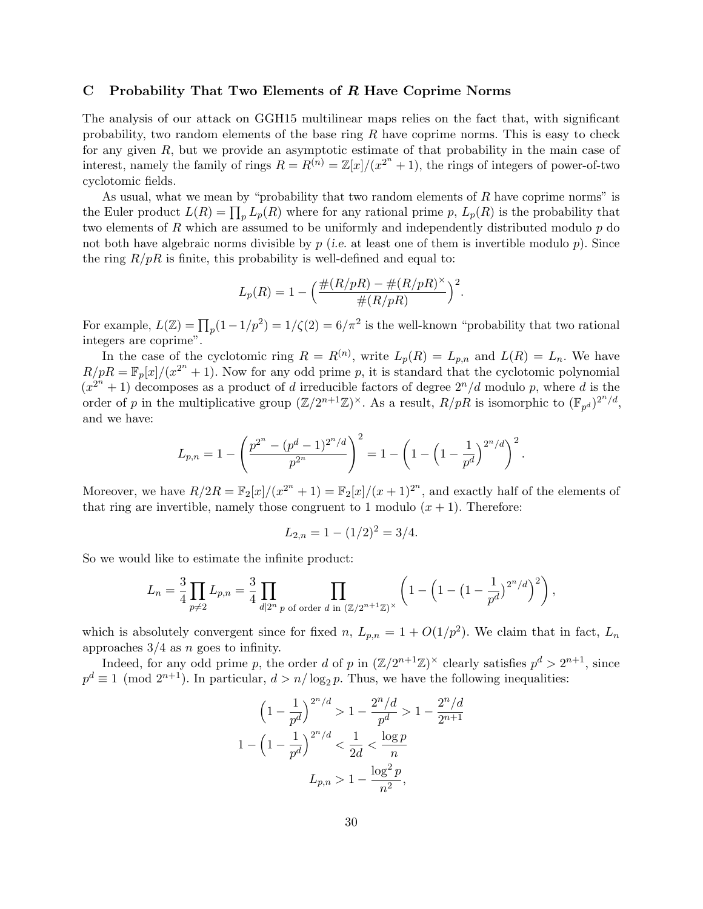## C Probability That Two Elements of R Have Coprime Norms

The analysis of our attack on GGH15 multilinear maps relies on the fact that, with significant probability, two random elements of the base ring  $R$  have coprime norms. This is easy to check for any given R, but we provide an asymptotic estimate of that probability in the main case of interest, namely the family of rings  $R = R^{(n)} = \mathbb{Z}[x]/(x^{2^n} + 1)$ , the rings of integers of power-of-two cyclotomic fields.

As usual, what we mean by "probability that two random elements of  $R$  have coprime norms" is the Euler product  $L(R) = \prod_p L_p(R)$  where for any rational prime p,  $L_p(R)$  is the probability that two elements of  $R$  which are assumed to be uniformly and independently distributed modulo  $p$  do not both have algebraic norms divisible by  $p$  (i.e. at least one of them is invertible modulo  $p$ ). Since the ring  $R/pR$  is finite, this probability is well-defined and equal to:

$$
L_p(R) = 1 - \left(\frac{\#(R/pR) - \#(R/pR)^\times}{\#(R/pR)}\right)^2.
$$

For example,  $L(\mathbb{Z}) = \prod_p(1 - 1/p^2) = 1/\zeta(2) = 6/\pi^2$  is the well-known "probability that two rational integers are coprime".

In the case of the cyclotomic ring  $R = R^{(n)}$ , write  $L_p(R) = L_{p,n}$  and  $L(R) = L_n$ . We have  $R/pR = \mathbb{F}_p[x]/(x^{2^n} + 1)$ . Now for any odd prime p, it is standard that the cyclotomic polynomial  $(x^{2^n}+1)$  decomposes as a product of d irreducible factors of degree  $2^n/d$  modulo p, where d is the order of p in the multiplicative group  $(\mathbb{Z}/2^{n+1}\mathbb{Z})^{\times}$ . As a result,  $R/pR$  is isomorphic to  $(\mathbb{F}_{p^d})^{2^n/d}$ , and we have:

$$
L_{p,n} = 1 - \left(\frac{p^{2^n} - (p^d - 1)^{2^n/d}}{p^{2^n}}\right)^2 = 1 - \left(1 - \left(1 - \frac{1}{p^d}\right)^{2^n/d}\right)^2.
$$

Moreover, we have  $R/2R = \mathbb{F}_2[x]/(x^{2^n} + 1) = \mathbb{F}_2[x]/(x+1)^{2^n}$ , and exactly half of the elements of that ring are invertible, namely those congruent to 1 modulo  $(x + 1)$ . Therefore:

$$
L_{2,n} = 1 - (1/2)^2 = 3/4.
$$

So we would like to estimate the infinite product:

$$
L_n = \frac{3}{4} \prod_{p \neq 2} L_{p,n} = \frac{3}{4} \prod_{d|2^n} \prod_{p \text{ of order } d \text{ in } (\mathbb{Z}/2^{n+1}\mathbb{Z})^{\times}} \left(1 - \left(1 - \left(1 - \frac{1}{p^d}\right)^{2^n/d}\right)^2\right),
$$

which is absolutely convergent since for fixed n,  $L_{p,n} = 1 + O(1/p^2)$ . We claim that in fact,  $L_n$ approaches  $3/4$  as n goes to infinity.

Indeed, for any odd prime p, the order d of p in  $(\mathbb{Z}/2^{n+1}\mathbb{Z})^{\times}$  clearly satisfies  $p^d > 2^{n+1}$ , since  $p^d \equiv 1 \pmod{2^{n+1}}$ . In particular,  $d > n/\log_2 p$ . Thus, we have the following inequalities:

$$
\left(1 - \frac{1}{p^d}\right)^{2^n/d} > 1 - \frac{2^n/d}{p^d} > 1 - \frac{2^n/d}{2^{n+1}}
$$

$$
1 - \left(1 - \frac{1}{p^d}\right)^{2^n/d} < \frac{1}{2d} < \frac{\log p}{n}
$$

$$
L_{p,n} > 1 - \frac{\log^2 p}{n^2},
$$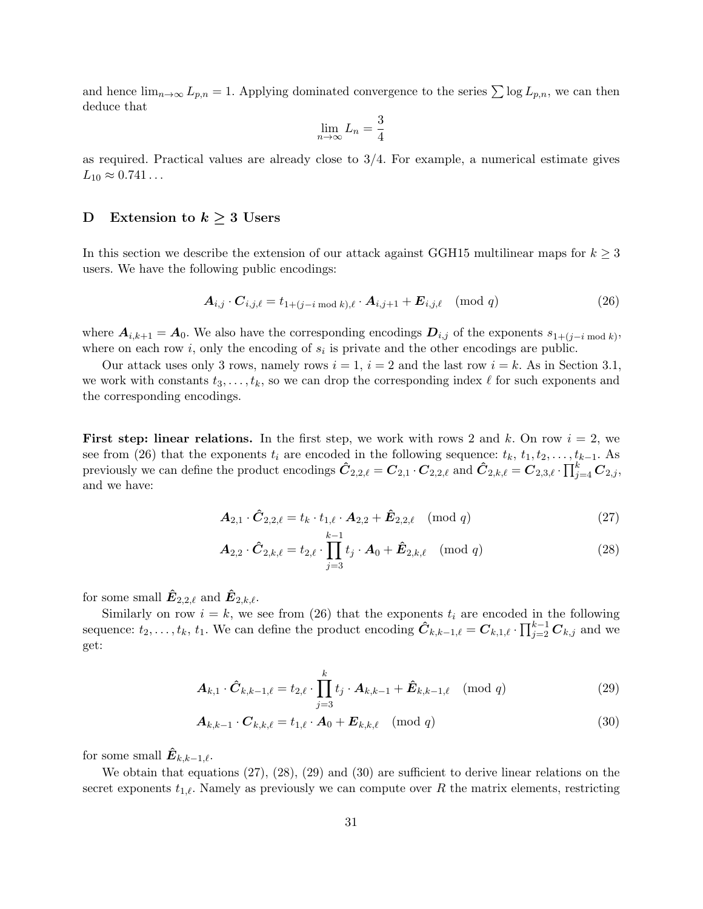and hence  $\lim_{n\to\infty} L_{p,n} = 1$ . Applying dominated convergence to the series  $\sum \log L_{p,n}$ , we can then deduce that  $\overline{2}$ 

$$
\lim_{n \to \infty} L_n = \frac{3}{4}
$$

as required. Practical values are already close to 3/4. For example, a numerical estimate gives  $L_{10} \approx 0.741...$ 

## D Extension to  $k \geq 3$  Users

In this section we describe the extension of our attack against GGH15 multilinear maps for  $k \geq 3$ users. We have the following public encodings:

$$
\mathbf{A}_{i,j} \cdot \mathbf{C}_{i,j,\ell} = t_{1+(j-i \bmod k),\ell} \cdot \mathbf{A}_{i,j+1} + \mathbf{E}_{i,j,\ell} \pmod{q} \tag{26}
$$

where  $A_{i,k+1} = A_0$ . We also have the corresponding encodings  $D_{i,j}$  of the exponents  $s_{1+(j-i \mod k)}$ , where on each row  $i$ , only the encoding of  $s_i$  is private and the other encodings are public.

Our attack uses only 3 rows, namely rows  $i = 1$ ,  $i = 2$  and the last row  $i = k$ . As in Section 3.1, we work with constants  $t_3, \ldots, t_k$ , so we can drop the corresponding index  $\ell$  for such exponents and the corresponding encodings.

**First step: linear relations.** In the first step, we work with rows 2 and k. On row  $i = 2$ , we see from (26) that the exponents  $t_i$  are encoded in the following sequence:  $t_k$ ,  $t_1, t_2, \ldots, t_{k-1}$ . As previously we can define the product encodings  $\hat{C}_{2,2,\ell} = C_{2,1} \cdot C_{2,2,\ell}$  and  $\hat{C}_{2,k,\ell} = C_{2,3,\ell} \cdot \prod_{j=4}^{k} C_{2,j}$ , and we have:

$$
\mathbf{A}_{2,1} \cdot \hat{\mathbf{C}}_{2,2,\ell} = t_k \cdot t_{1,\ell} \cdot \mathbf{A}_{2,2} + \hat{\mathbf{E}}_{2,2,\ell} \pmod{q} \tag{27}
$$

$$
\mathbf{A}_{2,2} \cdot \hat{\mathbf{C}}_{2,k,\ell} = t_{2,\ell} \cdot \prod_{j=3}^{k-1} t_j \cdot \mathbf{A}_0 + \hat{\mathbf{E}}_{2,k,\ell} \pmod{q} \tag{28}
$$

for some small  $\hat{\mathbf{E}}_{2,2,\ell}$  and  $\hat{\mathbf{E}}_{2,k,\ell}$ .

Similarly on row  $i = k$ , we see from (26) that the exponents  $t_i$  are encoded in the following sequence:  $t_2, \ldots, t_k, t_1$ . We can define the product encoding  $\hat{C}_{k,k-1,\ell} = C_{k,1,\ell} \cdot \prod_{j=2}^{k-1} C_{k,j}$  and we get:

$$
\mathbf{A}_{k,1} \cdot \hat{\mathbf{C}}_{k,k-1,\ell} = t_{2,\ell} \cdot \prod_{j=3}^k t_j \cdot \mathbf{A}_{k,k-1} + \hat{\mathbf{E}}_{k,k-1,\ell} \pmod{q} \tag{29}
$$

$$
\boldsymbol{A}_{k,k-1} \cdot \boldsymbol{C}_{k,k,\ell} = t_{1,\ell} \cdot \boldsymbol{A}_0 + \boldsymbol{E}_{k,k,\ell} \pmod{q} \tag{30}
$$

for some small  $\hat{E}_{k,k-1,\ell}$ .

We obtain that equations (27), (28), (29) and (30) are sufficient to derive linear relations on the secret exponents  $t_{1,\ell}$ . Namely as previously we can compute over R the matrix elements, restricting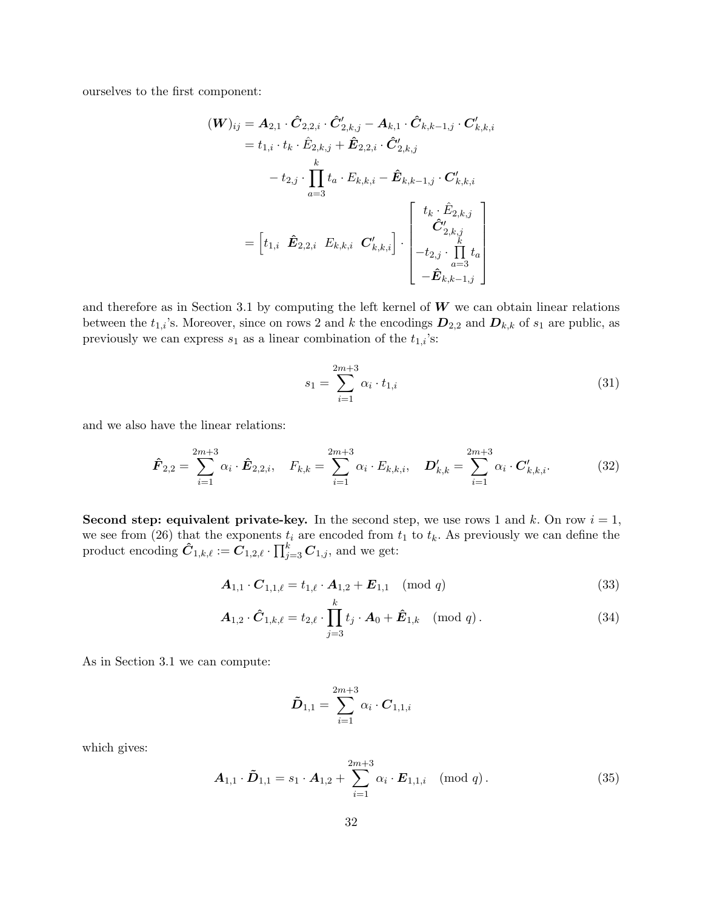ourselves to the first component:

$$
\begin{aligned} (\bm{W})_{ij} &= \bm{A}_{2,1} \cdot \hat{\bm{C}}_{2,2,i} \cdot \hat{\bm{C}}'_{2,k,j} - \bm{A}_{k,1} \cdot \hat{\bm{C}}_{k,k-1,j} \cdot \bm{C}'_{k,k,i} \\ &= t_{1,i} \cdot t_k \cdot \hat{E}_{2,k,j} + \hat{\bm{E}}_{2,2,i} \cdot \hat{\bm{C}}'_{2,k,j} \\ &- t_{2,j} \cdot \prod_{a=3}^k t_a \cdot E_{k,k,i} - \hat{\bm{E}}_{k,k-1,j} \cdot \bm{C}'_{k,k,i} \\ &= \begin{bmatrix} t_1, & \hat{\bm{E}}_{2,2,i} & E_{k,k,i} & \bm{C}'_{k,k,i} \end{bmatrix} \cdot \begin{bmatrix} t_k \cdot \hat{\bm{E}}_{2,k,j} \\ \hat{\bm{C}}'_{2,k,j} \\ -t_{2,j} \cdot \prod_{a=3}^k t_a \\ -\hat{\bm{E}}_{k,k-1,j} \end{bmatrix} \end{aligned}
$$

and therefore as in Section 3.1 by computing the left kernel of  $W$  we can obtain linear relations between the  $t_{1,i}$ 's. Moreover, since on rows 2 and k the encodings  $D_{2,2}$  and  $D_{k,k}$  of  $s_1$  are public, as previously we can express  $s_1$  as a linear combination of the  $t_{1,i}\text{'s:}$ 

$$
s_1 = \sum_{i=1}^{2m+3} \alpha_i \cdot t_{1,i} \tag{31}
$$

and we also have the linear relations:

$$
\hat{\boldsymbol{F}}_{2,2} = \sum_{i=1}^{2m+3} \alpha_i \cdot \hat{\boldsymbol{E}}_{2,2,i}, \quad F_{k,k} = \sum_{i=1}^{2m+3} \alpha_i \cdot E_{k,k,i}, \quad \boldsymbol{D}'_{k,k} = \sum_{i=1}^{2m+3} \alpha_i \cdot \boldsymbol{C}'_{k,k,i}.
$$
 (32)

Second step: equivalent private-key. In the second step, we use rows 1 and k. On row  $i = 1$ , we see from (26) that the exponents  $t_i$  are encoded from  $t_1$  to  $t_k$ . As previously we can define the product encoding  $\hat{\pmb{C}}_{1,k,\ell} := \hat{\pmb{C}}_{1,2,\ell} \cdot \prod_{j=3}^k \pmb{C}_{1,j},$  and we get:

$$
\mathbf{A}_{1,1} \cdot \mathbf{C}_{1,1,\ell} = t_{1,\ell} \cdot \mathbf{A}_{1,2} + \mathbf{E}_{1,1} \pmod{q} \tag{33}
$$

$$
\mathbf{A}_{1,2} \cdot \hat{\mathbf{C}}_{1,k,\ell} = t_{2,\ell} \cdot \prod_{j=3}^{k} t_j \cdot \mathbf{A}_0 + \hat{\mathbf{E}}_{1,k} \pmod{q}.
$$
 (34)

As in Section 3.1 we can compute:

$$
\tilde{\bm{D}}_{1,1} = \sum_{i=1}^{2m+3} \alpha_i \cdot \bm{C}_{1,1,i}
$$

which gives:

$$
\boldsymbol{A}_{1,1} \cdot \boldsymbol{\tilde{D}}_{1,1} = s_1 \cdot \boldsymbol{A}_{1,2} + \sum_{i=1}^{2m+3} \alpha_i \cdot \boldsymbol{E}_{1,1,i} \pmod{q} . \tag{35}
$$